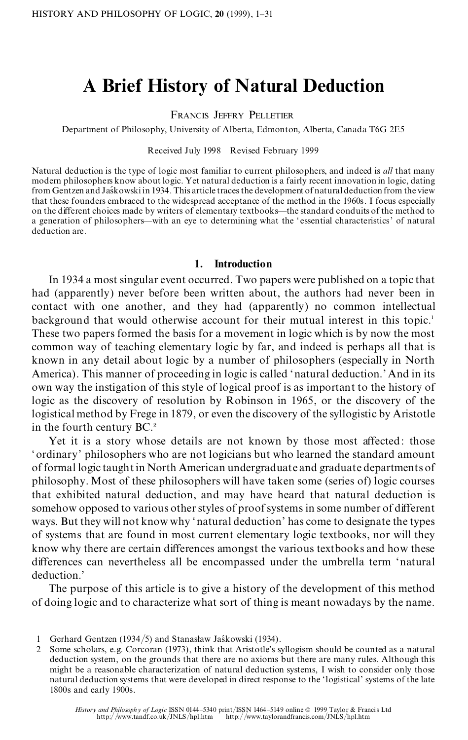# **A Brief History of Natural Deduction**

Francis Jeffry Pelletier

Department of Philosophy, University of Alberta, Edmonton, Alberta, Canada T6G 2E5

Received July 1998 Revised February 1999

Natural deduction is the type of logic most familiar to current philosophers, and indeed is *all* that many modern philosophers know about logic. Yet natural deduction is a fairly recent innovation in logic, dating from Gentzen and Jaskowski in 1934. This article traces the development of natural deduction from the view that these founders embraced to the widespread acceptance of the method in the 1960s. I focus especially on the different choices made by writers of elementary textbooks—the standard conduits of the method to a generation of philosophers—with an eye to determining what the 'essential characteristics' of natural deduction are.

## **1. Introduction**

In 1934 a most singular event occurred. Two papers were published on a topic that had (apparently) never before been written about, the authors had never been in contact with one another, and they had (apparently) no common intellectual background that would otherwise account for their mutual interest in this topic.<sup>1</sup> These two papers formed the basis for a movement in logic which is by now the most common way of teaching elementary logic by far, and indeed is perhaps all that is known in any detail about logic by a number of philosophers (especially in North America). This manner of proceeding in logic is called 'natural deduction.' And in its own way the instigation of this style of logical proof is as important to the history of logic as the discovery of resolution by Robinson in 1965, or the discovery of the logistical method by Frege in 1879, or even the discovery of the syllogistic by Aristotle in the fourth century BC.<sup>2</sup>

Yet it is a story whose details are not known by those most affected: those `ordinary' philosophers who are not logicians but who learned the standard amount of formal logic taughtin North American undergraduate and graduate departments of philosophy. Most of these philosophers will have taken some (series of) logic courses that exhibited natural deduction, and may have heard that natural deduction is somehow opposed to various other styles of proof systems in some number of different ways. But they will not know why 'natural deduction' has come to designate the types of systems that are found in most current elementary logic textbooks, nor will they know why there are certain differences amongst the various textbooks and how these differences can nevertheless all be encompassed under the umbrella term 'natural deduction.'

The purpose of this article is to give a history of the development of this method of doing logic and to characterize what sort of thing is meant nowadays by the name.

<sup>1</sup> Gerhard Gentzen (1934/5) and Stanasław Jaskowski (1934).

<sup>2</sup> Some scholars, e.g. Corcoran (1973), think that Aristotle's syllogism should be counted as a natural deduction system, on the grounds that there are no axioms but there are many rules. Although this might be a reasonable characterization of natural deduction systems, I wish to consider only those natural deduction systems that were developed in direct response to the `logistical' systems of the late 1800s and early 1900s.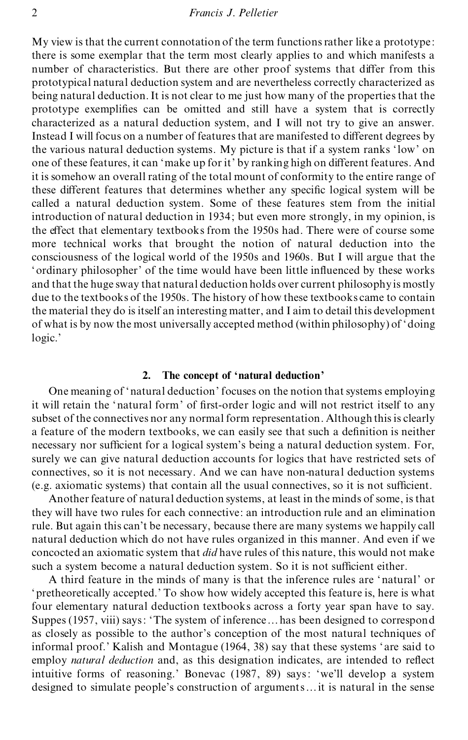My view is that the current connotation of the term functionsrather like a prototype: there is some exemplar that the term most clearly applies to and which manifests a number of characteristics. But there are other proof systems that differ from this prototypical natural deduction system and are nevertheless correctly characterized as being natural deduction.It is not clear to me just how many of the properties that the prototype exemplifies can be omitted and still have a system that is correctly characterized as a natural deduction system, and I will not try to give an answer. Instead I will focus on a number of features that are manifested to different degrees by the various natural deduction systems. My picture is that if a system ranks `low' on one of these features, it can 'make up for it' by ranking high on different features. And it is somehow an overall rating of the total mount of conformity to the entire range of these different features that determines whether any specific logical system will be called a natural deduction system. Some of these features stem from the initial introduction of natural deduction in 1934; but even more strongly, in my opinion, is the effect that elementary textbooks from the 1950s had. There were of course some more technical works that brought the notion of natural deduction into the consciousness of the logical world of the 1950s and 1960s. But I will argue that the 'ordinary philosopher' of the time would have been little influenced by these works and that the huge sway that natural deduction holds over current philosophy is mostly due to the textbooks of the 1950s. The history of how these textbooks came to contain the material they do is itself an interesting matter, and I aim to detail this development of what is by now the most universally accepted method (within philosophy) of `doing logic.'

### **2. The concept of `natural deduction'**

One meaning of 'natural deduction' focuses on the notion that systems employing it will retain the 'natural form' of first-order logic and will not restrict itself to any subset of the connectives nor any normal form representation. Although this is clearly a feature of the modern textbooks, we can easily see that such a definition is neither necessary nor sufficient for a logical system's being a natural deduction system. For, surely we can give natural deduction accounts for logics that have restricted sets of connectives, so it is not necessary. And we can have non-natural deduction systems  $(e.g.$  axiomatic systems) that contain all the usual connectives, so it is not sufficient.

Another feature of natural deduction systems, at least in the minds of some, is that they will have two rules for each connective: an introduction rule and an elimination rule. But again this can't be necessary, because there are many systems we happily call natural deduction which do not have rules organized in this manner. And even if we concocted an axiomatic system that *did* have rules of this nature, this would not make such a system become a natural deduction system. So it is not sufficient either.

A third feature in the minds of many is that the inference rules are `natural' or `pretheoretically accepted.' To show how widely accepted this feature is, here is what four elementary natural deduction textbooks across a forty year span have to say. Suppes (1957, viii) says: 'The system of inference... has been designed to correspond as closely as possible to the author's conception of the most natural techniques of informal proof.' Kalish and Montague (1964, 38) say that these systems `are said to employ *natural deduction* and, as this designation indicates, are intended to reflect intuitive forms of reasoning.' Bonevac (1987, 89) says: 'we'll develop a system designed to simulate people's construction of arguments... it is natural in the sense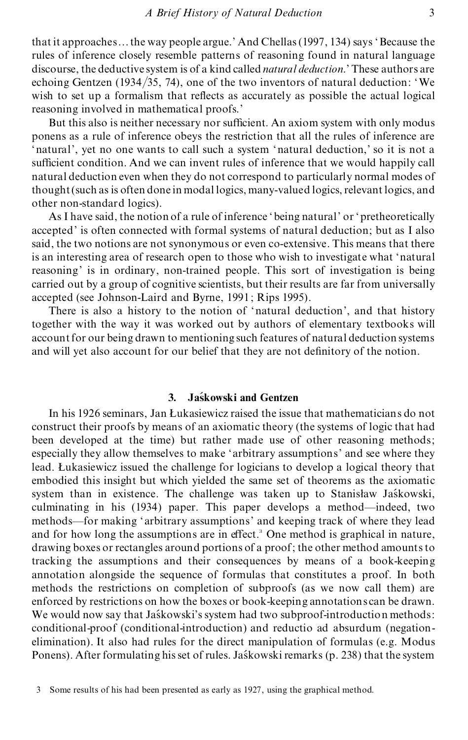that it approaches ... the way people argue.' And Chellas (1997, 134) says 'Because the rules of inference closely resemble patterns of reasoning found in natural language discourse, the deductive system is of a kind called *natural deduction*.' These authors are echoing Gentzen (1934/35, 74), one of the two inventors of natural deduction: 'We wish to set up a formalism that reflects as accurately as possible the actual logical reasoning involved in mathematical proofs.'

But this also is neither necessary nor sufficient. An axiom system with only modus ponens as a rule of inference obeys the restriction that all the rules of inference are `natural', yet no one wants to call such a system `natural deduction,' so it is not a sufficient condition. And we can invent rules of inference that we would happily call natural deduction even when they do not correspond to particularly normal modes of thought(such as is often done in modal logics, many-valued logics,relevant logics, and other non-standard logics).

As I have said, the notion of a rule of inference 'being natural' or 'pretheoretically accepted' is often connected with formal systems of natural deduction; but as I also said, the two notions are not synonymous or even co-extensive. This means that there is an interesting area of research open to those who wish to investigate what `natural reasoning' is in ordinary, non-trained people. This sort of investigation is being carried out by a group of cognitive scientists, but their results are far from universally accepted (see Johnson-Laird and Byrne, 1991; Rips 1995).

There is also a history to the notion of 'natural deduction', and that history together with the way it was worked out by authors of elementary textbooks will accountfor our being drawn to mentioning such features of natural deduction systems and will yet also account for our belief that they are not definitory of the notion.

## **3. Jas**!**kowski and Gentzen**

In his 1926 seminars, Jan Łukasiewicz raised the issue that mathematicians do not construct their proofs by means of an axiomatic theory (the systems of logic that had been developed at the time) but rather made use of other reasoning methods; especially they allow themselves to make 'arbitrary assumptions' and see where they lead. Łukasiewicz issued the challenge for logicians to develop a logical theory that embodied this insight but which yielded the same set of theorems as the axiomatic system than in existence. The challenge was taken up to Stanisław Jaśkowski, culminating in his  $(1934)$  paper. This paper develops a method—indeed, two methods—for making 'arbitrary assumptions' and keeping track of where they lead and for how long the assumptions are in effect.<sup>3</sup> One method is graphical in nature, drawing boxes or rectangles around portions of a proof; the other method amountsto tracking the assumptions and their consequences by means of a book-keeping annotation alongside the sequence of formulas that constitutes a proof. In both methods the restrictions on completion of subproofs (as we now call them) are enforced by restrictions on how the boxes or book-keeping annotations can be drawn. We would now say that Jaskowski's system had two subproof-introduction methods: conditional-proof (conditional-introduction) and reductio ad absurdum (negation elimination). It also had rules for the direct manipulation of formulas (e.g. Modus Ponens). After formulating his set of rules. Jaskowski remarks (p. 238) that the system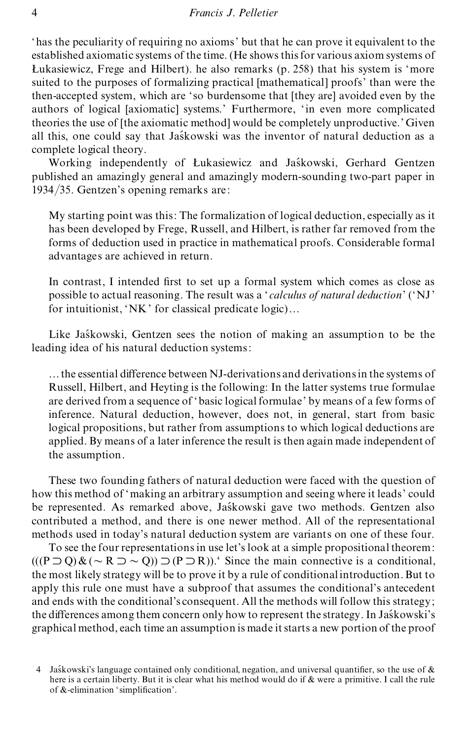`has the peculiarity of requiring no axioms' but that he can prove it equivalent to the established axiomatic systems of the time. (He shows thisfor various axiom systems of èukasiewicz, Frege and Hilbert). he also remarks (p. 258) that his system is `more suited to the purposes of formalizing practical [mathematical] proofs' than were the then-accepted system, which are `so burdensome that [they are] avoided even by the authors of logical [axiomatic] systems.' Furthermore, 'in even more complicated theories the use of [the axiomatic method] would be completely unproductive.' Given all this, one could say that Jaskowski was the inventor of natural deduction as a complete logical theory.

Working independently of Łukasiewicz and Jaskowski, Gerhard Gentzen published an amazingly general and amazingly modern-sounding two-part paper in  $1934/35$ . Gentzen's opening remarks are:

My starting point was this: The formalization of logical deduction, especially as it has been developed by Frege, Russell, and Hilbert, is rather far removed from the forms of deduction used in practice in mathematical proofs. Considerable formal advantages are achieved in return.

In contrast, I intended first to set up a formal system which comes as close as possible to actual reasoning. The result was a `*calculus of natural deduction*' (`NJ ' for intuitionist, 'NK' for classical predicate  $logic)$ ...

Like Jaskowski, Gentzen sees the notion of making an assumption to be the leading idea of his natural deduction systems:

 $\ldots$  the essential difference between NJ-derivations and derivations in the systems of Russell, Hilbert, and Heyting is the following: In the latter systems true formulae are derived from a sequence of `basic logical formulae' by means of a few forms of inference. Natural deduction, however, does not, in general, start from basic logical propositions, but rather from assumptions to which logical deductions are applied. By means of a later inference the result is then again made independent of the assumption.

These two founding fathers of natural deduction were faced with the question of how this method of 'making an arbitrary assumption and seeing where it leads' could be represented. As remarked above, Jaskowski gave two methods. Gentzen also contributed a method, and there is one newer method. All of the representational methods used in today's natural deduction system are variants on one of these four.

To see the four representations in use let's look at a simple propositional theorem:  $((P \supset Q) & (P \supset R) \supset (P \supset R))$ <sup>\*</sup> Since the main connective is a conditional, the most likely strategy will be to prove it by a rule of conditional introduction.But to apply this rule one must have a subproof that assumes the conditional's antecedent and ends with the conditional's consequent. All the methods will follow this strategy; the differences among them concern only how to represent the strategy. In Jaskowski's graphical method, each time an assumption is made itstarts a new portion of the proof

<sup>4</sup> Jaskowski's language contained only conditional, negation, and universal quantifier, so the use of  $\&$ here is a certain liberty. But it is clear what his method would do if & were a primitive. I call the rule of  $&$ -elimination 'simplification'.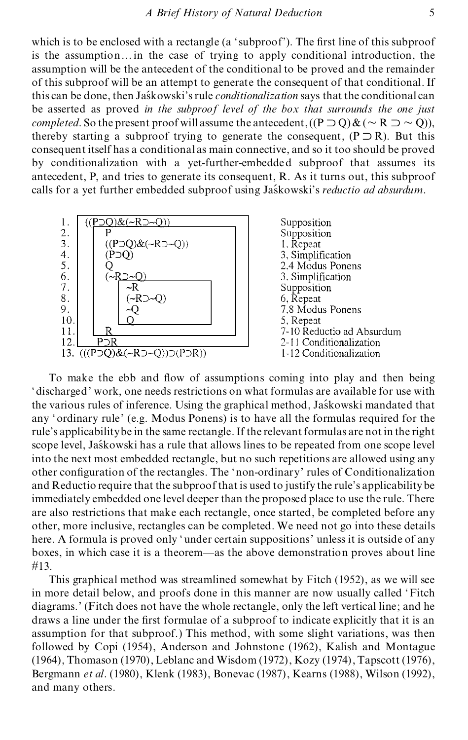which is to be enclosed with a rectangle (a 'subproof'). The first line of this subproof is the assumption $\dots$  in the case of trying to apply conditional introduction, the assumption will be the antecedent of the conditional to be proved and the remainder of this subproof will be an attempt to generate the consequent of that conditional.If this can be done, then Jaskowski's rule *conditionalization* says that the conditional can be asserted as proved *in the subproof level of the box that surrounds the one just completed*. So the present proof will assume the antecedent,  $((P \supset Q) & (N \supseteq Q))$ , thereby starting a subproof trying to generate the consequent,  $(P \supset R)$ . But this consequent itself has a conditional as main connective, and so it too should be proved by conditionalization with a yet-further-embedded subproof that assumes its antecedent, P, and tries to generate its consequent, R. As it turns out, this subproof calls for a yet further embedded subproof using Jaskowski's *reductio ad absurdum*.



Supposition Supposition 1, Repeat 3, Simplification 2.4 Modus Ponens 3, Simplification Supposition 6, Repeat 7,8 Modus Ponens 5. Repeat 7-10 Reductio ad Absurdum 2-11 Conditionalization 1-12 Conditionalization

To make the ebb and flow of assumptions coming into play and then being `discharged' work, one needs restrictions on what formulas are available for use with the various rules of inference. Using the graphical method, Jaskowski mandated that any 'ordinary rule' (e.g. Modus Ponens) is to have all the formulas required for the rule's applicabilitybe in the same rectangle.If the relevant formulas are not in the right scope level, Jaskowski has a rule that allows lines to be repeated from one scope level into the next most embedded rectangle, but no such repetitions are allowed using any other configuration of the rectangles. The 'non-ordinary' rules of Conditionalization and Reductio require that the subproof that is used to justify the rule's applicabilitybe immediately embedded one level deeper than the proposed place to use the rule. There are also restrictions that make each rectangle, once started, be completed before any other, more inclusive, rectangles can be completed. We need not go into these details here. A formula is proved only 'under certain suppositions' unless it is outside of any boxes, in which case it is a theorem—as the above demonstration proves about line  $#13.$ 

This graphical method was streamlined somewhat by Fitch (1952), as we will see in more detail below, and proofs done in this manner are now usually called `Fitch diagrams.' (Fitch does not have the whole rectangle, only the left vertical line; and he draws a line under the first formulae of a subproof to indicate explicitly that it is an assumption for that subproof.) This method, with some slight variations, was then followed by Copi (1954), Anderson and Johnstone (1962), Kalish and Montague (1964), Thomason (1970), Leblanc and Wisdom (1972), Kozy (1974), Tapscott (1976), Bergmann *et al*. (1980), Klenk (1983), Bonevac (1987), Kearns (1988), Wilson (1992), and many others.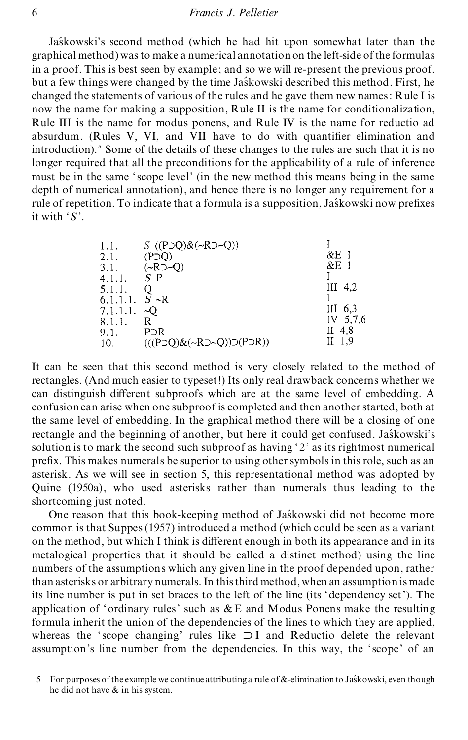Jaskowski's second method (which he had hit upon somewhat later than the graphical method) was to make a numerical annotationon the left-side of the formulas in a proof. This is best seen by example; and so we will re-present the previous proof. but a few things were changed by the time Jaskowski described this method. First, he changed the statements of various of the rules and he gave them new names: Rule I is now the name for making a supposition, Rule II is the name for conditionalization, Rule III is the name for modus ponens, and Rule IV isthe name for reductio ad absurdum. (Rules V, VI, and VII have to do with quantifier elimination and introduction).<sup>5</sup> Some of the details of these changes to the rules are such that it is no longer required that all the preconditions for the applicability of a rule of inference must be in the same 'scope level' (in the new method this means being in the same depth of numerical annotation), and hence there is no longer any requirement for a rule of repetition. To indicate that a formula is a supposition, Jaskowski now prefixes it with `*S*'.

| $S((P\supset Q)\&(\sim R\supset \sim Q))$<br>1.1.                          |            |
|----------------------------------------------------------------------------|------------|
| (P⊃O)<br>2.1.                                                              | &E 1       |
| (~R⊃~Q)<br>3.1.                                                            | &E 1       |
| S P<br>4.1.1.                                                              |            |
| 5.1.1.                                                                     | III $4.2$  |
| $S \sim R$<br>6.1.1.1.                                                     |            |
| 7.1.1.1.<br>$\sim$                                                         | III $6,3$  |
| 8.1.1.                                                                     | IV $5,7,6$ |
| P⊃R<br>9.1.                                                                | II 4.8     |
| $((P \supset Q) \& (\neg R \supset \neg Q)) \supset (P \supset R))$<br>10. | II 1.9     |

It can be seen that this second method is very closely related to the method of rectangles. (And much easier to typeset!) Its only real drawback concerns whether we can distinguish different subproofs which are at the same level of embedding. A confusion can arise when one subproof is completed and then another started, both at the same level of embedding. In the graphical method there will be a closing of one rectangle and the beginning of another, but here it could get confused. Jaskowski's solution is to mark the second such subproof as having  $2'$  as its rightmost numerical prefix. This makes numerals be superior to using other symbols in this role, such as an asterisk. As we will see in section 5, this representational method was adopted by Quine (1950a), who used asterisks rather than numerals thus leading to the shortcoming just noted.

One reason that this book-keeping method of Jaskowski did not become more common is that Suppes (1957) introduced a method (which could be seen as a variant on the method, but which I think is different enough in both its appearance and in its metalogical properties that it should be called a distinct method) using the line numbers of the assumptions which any given line in the proof depended upon, rather than asterisks or arbitrary numerals.In thisthird method,when an assumption is made its line number is put in set braces to the left of the line (its `dependency set'). The application of 'ordinary rules' such as  $\&$  E and Modus Ponens make the resulting formula inherit the union of the dependencies of the lines to which they are applied, whereas the 'scope changing' rules like  $\supset I$  and Reductio delete the relevant assumption's line number from the dependencies. In this way, the `scope' of an

<sup>5</sup> For purposes of the example we continue attributing a rule of  $\&$ -elimination to Jaskowski, even though he did not have & in his system.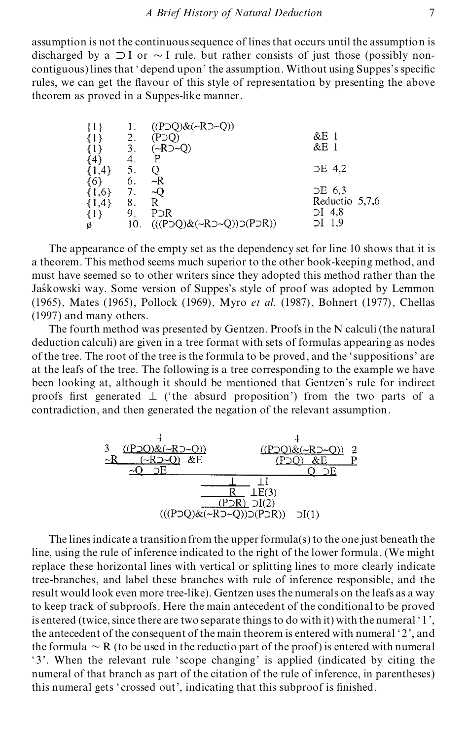assumption is not the continuoussequence of lines that occurs until the assumption is discharged by a  $\supset I$  or  $\sim I$  rule, but rather consists of just those (possibly noncontiguous) lines that 'depend upon' the assumption. Without using Suppes's specific rules, we can get the flavour of this style of representation by presenting the above theorem as proved in a Suppes-like manner.

| $\{1\}$   |     | $((P \supset Q) \& (\sim R \supset \sim Q))$                         |                 |
|-----------|-----|----------------------------------------------------------------------|-----------------|
| ${1}$     | 2.  | $(P \supset Q)$                                                      | $&E$ 1          |
| ${1}$     | 3.  | $(\sim R$ $\sim$ $\sim$ $\sim$ $\sim$                                | $&E$ 1          |
| ${4}$     | 4.  | P                                                                    |                 |
| $\{1,4\}$ |     |                                                                      | DE 4.2          |
| ${6}$     | 6.  | ~R                                                                   |                 |
| ${1,6}$   | 7.  | $\sim$                                                               | $DE$ 6.3        |
| ${1,4}$   | 8.  | R                                                                    | Reductio 5,7,6  |
| $\{1\}$   | 9.  | P⊃R                                                                  | $\supset I$ 4,8 |
| ø         | 10. | $(((P \supset Q) \& (\sim R \supset \sim Q)) \supset (P \supset R))$ | $DI$ 1.9        |
|           |     |                                                                      |                 |

The appearance of the empty set as the dependency set for line 10 shows that it is a theorem. This method seems much superior to the other book-keeping method, and must have seemed so to other writers since they adopted this method rather than the Jaskowski way. Some version of Suppes's style of proof was adopted by Lemmon (1965), Mates (1965), Pollock (1969), Myro *et al*. (1987), Bohnert (1977), Chellas (1997) and many others.

The fourth method was presented by Gentzen. Proofs in the N calculi (the natural deduction calculi) are given in a tree format with sets of formulas appearing as nodes of the tree. The root of the tree is the formula to be proved, and the `suppositions' are at the leafs of the tree. The following is a tree corresponding to the example we have been looking at, although it should be mentioned that Gentzen's rule for indirect proofs first generated  $\perp$  ('the absurd proposition') from the two parts of a contradiction, and then generated the negation of the relevant assumption.



The lines indicate a transition from the upper formula(s) to the one just beneath the line, using the rule of inference indicated to the right of the lower formula. (We might replace these horizontal lines with vertical or splitting lines to more clearly indicate tree-branches, and label these branches with rule of inference responsible, and the result would look even more tree-like). Gentzen uses the numerals on the leafs as a way to keep track of subproofs. Here the main antecedent of the conditional to be proved is entered (twice, since there are two separate things to do with it) with the numeral  $1'$ , the antecedent of the consequent of the main theorem is entered with numeral `2', and the formula  $\sim R$  (to be used in the reductio part of the proof) is entered with numeral `3'. When the relevant rule `scope changing' is applied (indicated by citing the numeral of that branch as part of the citation of the rule of inference, in parentheses) this numeral gets 'crossed out', indicating that this subproof is finished.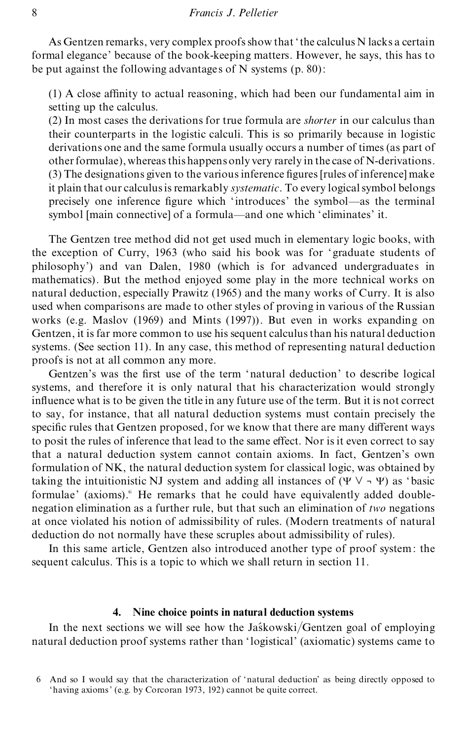As Gentzen remarks, very complex proofs show that 'the calculus N lacks a certain formal elegance' because of the book-keeping matters. However, he says, this has to be put against the following advantages of N systems (p. 80):

 $(1)$  A close affinity to actual reasoning, which had been our fundamental aim in setting up the calculus.

(2) In most cases the derivations for true formula are *shorter* in our calculus than their counterparts in the logistic calculi. This is so primarily because in logistic derivations one and the same formula usually occurs a number of times (as part of otherformulae),whereasthis happensonly very rarely in the case of N-derivations.  $(3)$  The designations given to the various inference figures [rules of inference] make it plain that our calculus is remarkably *systematic*. To every logical symbol belongs precisely one inference figure which 'introduces' the symbol—as the terminal symbol [main connective] of a formula—and one which 'eliminates' it.

The Gentzen tree method did not get used much in elementary logic books, with the exception of Curry, 1963 (who said his book was for `graduate students of philosophy') and van Dalen, 1980 (which is for advanced undergraduates in mathematics). But the method enjoyed some play in the more technical works on natural deduction, especially Prawitz (1965) and the many works of Curry. It is also used when comparisons are made to other styles of proving in various of the Russian works (e.g. Maslov (1969) and Mints (1997)). But even in works expanding on Gentzen, it is far more common to use his sequent calculusthan his natural deduction systems. (See section 11). In any case, this method of representing natural deduction proofs is not at all common any more.

Gentzen's was the first use of the term 'natural deduction' to describe logical systems, and therefore it is only natural that his characterization would strongly influence what is to be given the title in any future use of the term. But it is not correct to say, for instance, that all natural deduction systems must contain precisely the specific rules that Gentzen proposed, for we know that there are many different ways to posit the rules of inference that lead to the same effect. Nor is it even correct to say that a natural deduction system cannot contain axioms. In fact, Gentzen's own formulation of NK, the natural deduction system for classical logic, was obtained by taking the intuitionistic NJ system and adding all instances of  $(\Psi \lor \neg \Psi)$  as 'basic formulae' (axioms). ' He remarks that he could have equivalently added double negation elimination as a further rule, but that such an elimination of *two* negations at once violated his notion of admissibility of rules. (Modern treatments of natural deduction do not normally have these scruples about admissibility of rules).

In this same article, Gentzen also introduced another type of proof system: the sequent calculus. This is a topic to which we shall return in section 11.

## **4. Nine choice points in natural deduction systems**

In the next sections we will see how the Jaskowski/Gentzen goal of employing natural deduction proof systems rather than `logistical' (axiomatic) systems came to

<sup>6</sup> And so I would say that the characterization of `natural deduction' as being directly opposed to `having axioms' (e.g. by Corcoran 1973, 192) cannot be quite correct.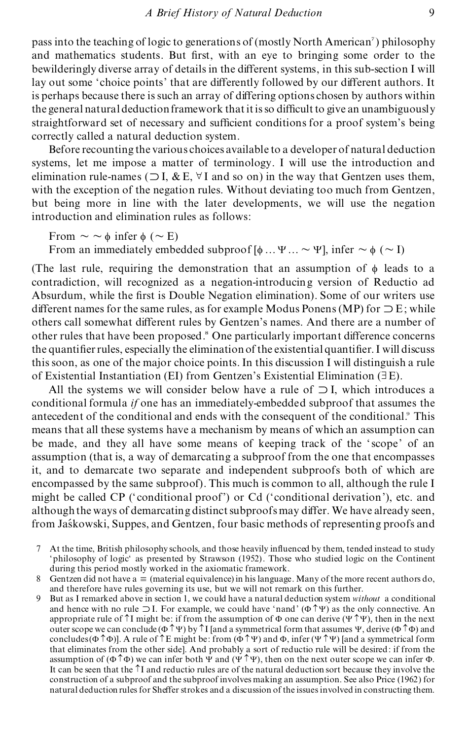pass into the teaching of logic to generations of (mostly North American<sup> $\tau$ </sup>) philosophy and mathematics students. But first, with an eye to bringing some order to the bewilderingly diverse array of details in the different systems, in this sub-section I will lay out some 'choice points' that are differently followed by our different authors. It is perhaps because there is such an array of differing options chosen by authors within the general natural deduction framework that it is so difficult to give an unambiguously straightforward set of necessary and sufficient conditions for a proof system's being correctly called a natural deduction system.

Before recounting the various choices available to a developer of natural deduction systems, let me impose a matter of terminology. I will use the introduction and elimination rule-names ( $\supset I$ ,  $\&$  E,  $\forall I$  and so on) in the way that Gentzen uses them, with the exception of the negation rules. Without deviating too much from Gentzen, but being more in line with the later developments, we will use the negation introduction and elimination rules as follows:

From  $\sim \sim \phi$  infer  $\phi$  ( $\sim$  E)

From an immediately embedded subproof  $[\phi \dots \Psi \dots \sim \Psi]$ , infer  $\sim \phi$  ( $\sim I$ )

(The last rule, requiring the demonstration that an assumption of  $\phi$  leads to a contradiction, will recognized as a negation-introducing version of Reductio ad Absurdum, while the first is Double Negation elimination). Some of our writers use different names for the same rules, as for example Modus Ponens (MP) for  $\supset E$ ; while others call somewhat different rules by Gentzen's names. And there are a number of other rules that have been proposed.<sup>8</sup> One particularly important difference concerns the quantifier rules, especially the elimination of the existential quantifier. I will discuss this soon, as one of the major choice points.In this discussion I will distinguish a rule of Existential Instantiation (EI) from Gentzen's Existential Elimination ( $\exists E$ ).

All the systems we will consider below have a rule of  $\supset I$ , which introduces a conditional formula *if* one has an immediately-embedded subproof that assumes the antecedent of the conditional and ends with the consequent of the conditional.<sup>9</sup> This means that all these systems have a mechanism by means of which an assumption can be made, and they all have some means of keeping track of the `scope' of an assumption (that is, a way of demarcating a subproof from the one that encompasses it, and to demarcate two separate and independent subproofs both of which are encompassed by the same subproof). This much is common to all, although the rule I might be called CP (`conditional proof') or Cd (`conditional derivation'), etc. and although the ways of demarcating distinct subproofs may differ. We have already seen, from Jaskowski, Suppes, and Gentzen, four basic methods of representing proofs and

<sup>7</sup> At the time, British philosophy schools, and those heavily influenced by them, tended instead to study `philosophy of logic` as presented by Strawson (1952). Those who studied logic on the Continent during this period mostly worked in the axiomatic framework.

<sup>8</sup> Gentzen did not have  $a \equiv (material \, equivalence)$  in his language. Many of the more recent authors do, and therefore have rules governing its use, but we will not remark on this further.

<sup>9</sup> But as I remarked above in section 1, we could have a natural deduction system *without* a conditional and hence with no rule  $\supset I$ . For example, we could have 'nand' ( $\Phi \uparrow \Psi$ ) as the only connective. An appropriate rule of  $\uparrow$  I might be: if from the assumption of  $\Phi$  one can derive ( $\Psi \uparrow \Psi$ ), then in the next outer scope we can conclude ( $\Phi \uparrow \Psi$ ) by  $\uparrow I$  [and a symmetrical form that assumes  $\Psi$ , derive ( $\Phi \uparrow \Phi$ ) and concludes( $\Phi \uparrow \Phi$ )]. A rule of  $\uparrow$  E might be: from ( $\Phi \uparrow \Psi$ ) and  $\Phi$ , infer ( $\Psi \uparrow \Psi$ ) [and a symmetrical form that eliminates from the other side]. And probably a sort of reductio rule will be desired: if from the assumption of  $(\Phi \uparrow \Phi)$  we can infer both  $\Psi$  and  $(\Psi \uparrow \Psi)$ , then on the next outer scope we can infer  $\Phi$ . It can be seen that the  $\uparrow$  I and reductio rules are of the natural deduction sort because they involve the construction of a subproof and the subproof involves making an assumption. See also Price (1962) for natural deduction rules for Sheffer strokes and a discussion of the issues involved in constructing them.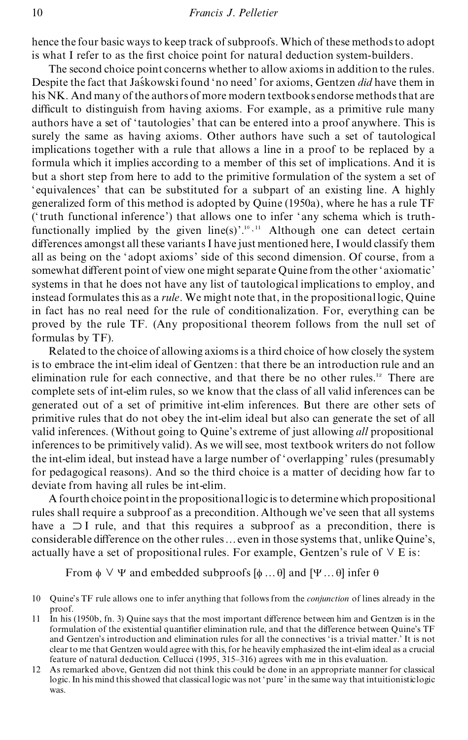hence the four basic ways to keep track of subproofs. Which of these methods to adopt is what I refer to as the first choice point for natural deduction system-builders.

The second choice point concerns whether to allow axioms in addition to the rules. Despite the fact that Jaskowski found 'no need' for axioms, Gentzen *did* have them in his NK. And many of the authors of more modern textbooks endorse methods that are difficult to distinguish from having axioms. For example, as a primitive rule many authors have a set of `tautologies' that can be entered into a proof anywhere. This is surely the same as having axioms. Other authors have such a set of tautological implications together with a rule that allows a line in a proof to be replaced by a formula which it implies according to a member of this set of implications. And it is but a short step from here to add to the primitive formulation of the system a set of `equivalences' that can be substituted for a subpart of an existing line. A highly generalized form of this method is adopted by Quine (1950a), where he has a rule TF (`truth functional inference') that allows one to infer `any schema which is truthfunctionally implied by the given  $line(s)$ <sup>10,11</sup> Although one can detect certain differences amongst all these variants I have just mentioned here, I would classify them all as being on the `adopt axioms' side of this second dimension. Of course, from a somewhat different point of view one might separate Quine from the other 'axiomatic' systems in that he does not have any list of tautological implications to employ, and instead formulates this as a *rule*. We might note that, in the propositional logic, Quine in fact has no real need for the rule of conditionalization. For, everything can be proved by the rule TF. (Any propositional theorem follows from the null set of formulas by TF).

Related to the choice of allowing axioms is a third choice of how closely the system is to embrace the int-elim ideal of Gentzen: that there be an introduction rule and an elimination rule for each connective, and that there be no other rules.<sup>12</sup> There are complete sets of int-elim rules, so we know that the class of all valid inferences can be generated out of a set of primitive int-elim inferences. But there are other sets of primitive rules that do not obey the int-elim ideal but also can generate the set of all valid inferences. (Without going to Quine's extreme of just allowing *all* propositional inferences to be primitively valid). As we willsee, most textbook writers do not follow the int-elim ideal, but instead have a large number of 'overlapping' rules (presumably for pedagogical reasons). And so the third choice is a matter of deciding how far to deviate from having all rules be int-elim.

A fourth choice pointin the propositionallogic is to determine which propositional rules shall require a subproof as a precondition. Although we've seen that all systems have a  $\supset I$  rule, and that this requires a subproof as a precondition, there is considerable difference on the other rules ... even in those systems that, unlike Quine's, actually have a set of propositional rules. For example, Gentzen's rule of  $\vee$  E is:

From  $\phi \lor \Psi$  and embedded subproofs  $[\phi \dots \theta]$  and  $[\Psi \dots \theta]$  infer  $\theta$ 

<sup>10</sup> Quine's TF rule allows one to infer anything that follows from the *conjunction* of lines already in the proof.

<sup>11</sup> In his (1950b, fn. 3) Quine says that the most important difference between him and Gentzen is in the formulation of the existential quantifier elimination rule, and that the difference between Quine's TF and Gentzen's introduction and elimination rules for all the connectives 'is a trivial matter.' It is not clearto me that Gentzen would agree with this, for he heavily emphasized the int-elim ideal as a crucial feature of natural deduction. Cellucci (1995, 315-316) agrees with me in this evaluation.

<sup>12</sup> As remarked above, Gentzen did not think this could be done in an appropriate manner for classical logic. In his mind this showed that classical logic was not 'pure' in the same way that intuitionisticlogic was.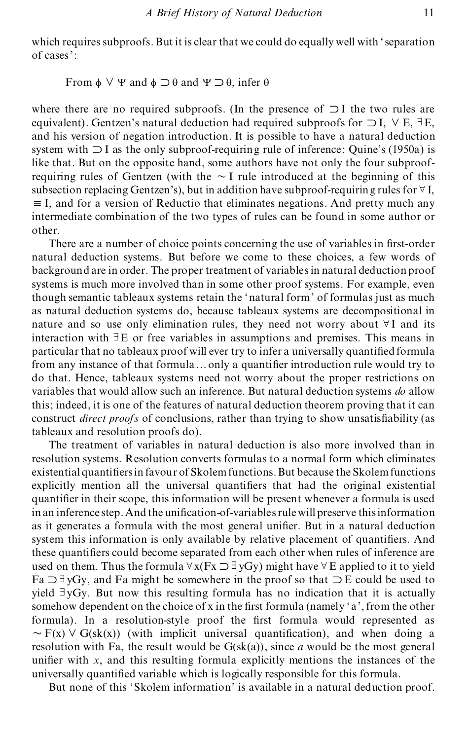which requires subproofs. But it is clear that we could do equally well with 'separation of cases' :

From  $\phi \lor \Psi$  and  $\phi \supset \theta$  and  $\Psi \supset \theta$ , infer  $\theta$ 

where there are no required subproofs. (In the presence of  $\supset I$  the two rules are equivalent). Gentzen's natural deduction had required subproofs for  $\supset I$ ,  $\vee$  E,  $\exists$  E, and his version of negation introduction. It is possible to have a natural deduction system with  $\supset I$  as the only subproof-requiring rule of inference: Quine's (1950a) is like that. But on the opposite hand, some authors have not only the four subproofrequiring rules of Gentzen (with the  $\sim$  I rule introduced at the beginning of this subsection replacing Gentzen's), but in addition have subproof-requiring rules for  $\forall$  I,  $\equiv$  I, and for a version of Reductio that eliminates negations. And pretty much any intermediate combination of the two types of rules can be found in some author or other.

There are a number of choice points concerning the use of variables in first-order natural deduction systems. But before we come to these choices, a few words of background are in order. The proper treatment of variablesin natural deductionproof systems is much more involved than in some other proof systems. For example, even though semantic tableaux systems retain the `natural form' of formulas just as much as natural deduction systems do, because tableaux systems are decompositional in nature and so use only elimination rules, they need not worry about  $\forall I$  and its interaction with  $\exists E$  or free variables in assumptions and premises. This means in particular that no tableaux proof will ever try to infer a universally quantified formula from any instance of that formula ... only a quantifier introduction rule would try to do that. Hence, tableaux systems need not worry about the proper restrictions on variables that would allow such an inference. But natural deduction systems *do* allow this; indeed, it is one of the features of natural deduction theorem proving that it can construct *direct proofs* of conclusions, rather than trying to show unsatisfiability (as tableaux and resolution proofs do).

The treatment of variables in natural deduction is also more involved than in resolution systems. Resolution converts formulas to a normal form which eliminates existential quantifiers in favour of Skolem functions. But because the Skolem functions explicitly mention all the universal quantifiers that had the original existential quantifier in their scope, this information will be present whenever a formula is used in an inference step. And the unification-of-variables rule will preserve this information as it generates a formula with the most general unifier. But in a natural deduction system this information is only available by relative placement of quantifiers. And these quantifiers could become separated from each other when rules of inference are used on them. Thus the formula  $\forall x(Fx \supset \exists yGy)$  might have  $\forall E$  applied to it to yield Fa  $\supseteq \exists y Gy$ , and Fa might be somewhere in the proof so that  $\supseteq E$  could be used to yield  $\exists yGy$ . But now this resulting formula has no indication that it is actually somehow dependent on the choice of x in the first formula (namely  $a$ , from the other formula). In a resolution-style proof the first formula would represented as  $\sim$  F(x)  $\vee$  G(sk(x)) (with implicit universal quantification), and when doing a resolution with Fa, the result would be G(sk(a)), since *a* would be the most general unifier with  $x$ , and this resulting formula explicitly mentions the instances of the universally quantified variable which is logically responsible for this formula.

But none of this 'Skolem information' is available in a natural deduction proof.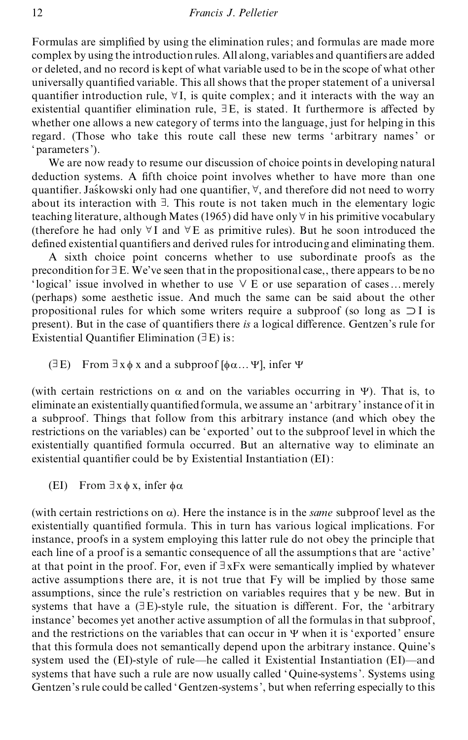Formulas are simplified by using the elimination rules; and formulas are made more complex by using the introduction rules. All along, variables and quantifiers are added or deleted, and no record is kept of what variable used to be in the scope of what other universally quantified variable. This all shows that the proper statement of a universal quantifier introduction rule,  $\nabla I$ , is quite complex; and it interacts with the way an existential quantifier elimination rule,  $\exists E$ , is stated. It furthermore is affected by whether one allows a new category of terms into the language, just for helping in this regard. (Those who take this route call these new terms `arbitrary names' or `parameters').

We are now ready to resume our discussion of choice points in developing natural deduction systems. A fifth choice point involves whether to have more than one quantifier. Jaskowski only had one quantifier,  $\forall$ , and therefore did not need to worry about its interaction with  $\exists$ . This route is not taken much in the elementary logic teaching literature, although Mates (1965) did have only  $\forall$  in his primitive vocabulary (therefore he had only  $\forall I$  and  $\forall E$  as primitive rules). But he soon introduced the defined existential quantifiers and derived rules for introducing and eliminating them.

A sixth choice point concerns whether to use subordinate proofs as the precondition for  $\exists E$ . We've seen that in the propositional case,, there appears to be no 'logical' issue involved in whether to use  $\vee$  E or use separation of cases... merely (perhaps) some aesthetic issue. And much the same can be said about the other propositional rules for which some writers require a subproof (so long as  $\supset I$  is present). But in the case of quantifiers there *is* a logical difference. Gentzen's rule for Existential Quantifier Elimination  $(exists E)$  is:

 $(\exists E)$  From  $\exists x \phi x$  and a subproof  $[\phi \alpha ... \Psi]$ , infer  $\Psi$ 

(with certain restrictions on  $\alpha$  and on the variables occurring in  $\Psi$ ). That is, to eliminate an existentially quantified formula, we assume an 'arbitrary' instance of it in a subproof. Things that follow from this arbitrary instance (and which obey the restrictions on the variables) can be `exported' out to the subproof level in which the existentially quantified formula occurred. But an alternative way to eliminate an existential quantifier could be by Existential Instantiation (EI):

(EI) From  $\exists x \phi x$ , infer  $\phi \alpha$ 

(with certain restrictions on  $\alpha$ ). Here the instance is in the *same* subproof level as the existentially quantified formula. This in turn has various logical implications. For instance, proofs in a system employing this latter rule do not obey the principle that each line of a proof is a semantic consequence of all the assumptions that are `active' at that point in the proof. For, even if  $\exists xFx$  were semantically implied by whatever active assumptions there are, it is not true that Fy will be implied by those same assumptions, since the rule's restriction on variables requires that y be new. But in systems that have a  $(\exists E)$ -style rule, the situation is different. For, the 'arbitrary instance' becomes yet another active assumption of all the formulas in that subproof, and the restrictions on the variables that can occur in  $\Psi$  when it is 'exported' ensure that this formula does not semantically depend upon the arbitrary instance. Quine's system used the (EI)-style of rule—he called it Existential Instantiation (EI)—and systems that have such a rule are now usually called 'Quine-systems'. Systems using Gentzen's rule could be called 'Gentzen-systems', but when referring especially to this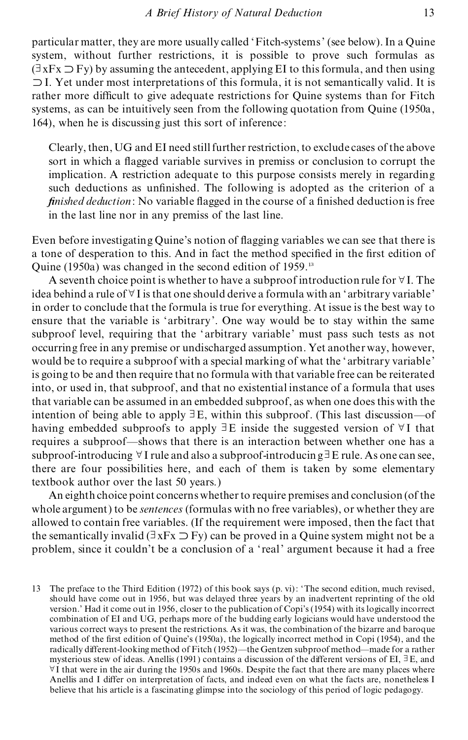particular matter, they are more usually called 'Fitch-systems' (see below). In a Quine system, without further restrictions, it is possible to prove such formulas as  $(\exists xFx \supset Fy)$  by assuming the antecedent, applying EI to this formula, and then using  $\supset$  I. Yet under most interpretations of this formula, it is not semantically valid. It is rather more difficult to give adequate restrictions for Quine systems than for Fitch systems, as can be intuitively seen from the following quotation from Quine (1950a, 164), when he is discussing just this sort of inference:

Clearly, then, UG and EI need still further restriction, to exclude cases of the above sort in which a flagged variable survives in premiss or conclusion to corrupt the implication. A restriction adequate to this purpose consists merely in regarding such deductions as unfinished. The following is adopted as the criterion of a *finished deduction*: No variable flagged in the course of a finished deduction is free in the last line nor in any premiss of the last line.

Even before investigating Quine's notion of flagging variables we can see that there is a tone of desperation to this. And in fact the method specified in the first edition of Quine (1950a) was changed in the second edition of 1959.<sup>13</sup>

A seventh choice point is whether to have a subproof introduction rule for  $\forall$  I. The idea behind a rule of  $\forall$  I is that one should derive a formula with an 'arbitrary variable' in order to conclude that the formula is true for everything. At issue is the best way to ensure that the variable is 'arbitrary'. One way would be to stay within the same subproof level, requiring that the `arbitrary variable' must pass such tests as not occurring free in any premise or undischarged assumption. Yet another way, however, would be to require a subproof with a special marking of what the 'arbitrary variable' is going to be and then require that no formula with that variable free can be reiterated into, or used in, that subproof, and that no existential instance of a formula that uses that variable can be assumed in an embedded subproof, as when one does this with the intention of being able to apply  $\exists E$ , within this subproof. (This last discussion—of having embedded subproofs to apply  $\exists E$  inside the suggested version of  $\forall I$  that requires a subproof—shows that there is an interaction between whether one has a subproof-introducing  $\forall$  I rule and also a subproof-introducing  $\exists$  E rule. As one can see, there are four possibilities here, and each of them is taken by some elementary textbook author over the last 50 years.)

An eighth choice point concerns whether to require premises and conclusion (of the whole argument) to be *sentences* (formulas with no free variables), or whether they are allowed to contain free variables. (If the requirement were imposed, then the fact that the semantically invalid ( $\exists xFx \exists Fy$ ) can be proved in a Quine system might not be a problem, since it couldn't be a conclusion of a `real' argument because it had a free

<sup>13</sup> The preface to the Third Edition (1972) of this book says (p. vi): `The second edition, much revised, should have come out in 1956, but was delayed three years by an inadvertent reprinting of the old version.' Had it come out in 1956, closer to the publication of Copi's(1954) with its logically incorrect combination of EI and UG, perhaps more of the budding early logicians would have understood the various correct ways to present the restrictions. As it was, the combination of the bizarre and baroque method of the first edition of Quine's (1950a), the logically incorrect method in Copi (1954), and the radically different-looking method of Fitch (1952)—the Gentzen subproof method—made for a rather mysterious stew of ideas. Anellis (1991) contains a discussion of the different versions of EI,  $\exists E$ , and  $\forall$  I that were in the air during the 1950s and 1960s. Despite the fact that there are many places where Anellis and I differ on interpretation of facts, and indeed even on what the facts are, nonetheless I believe that his article is a fascinating glimpse into the sociology of this period of logic pedagogy.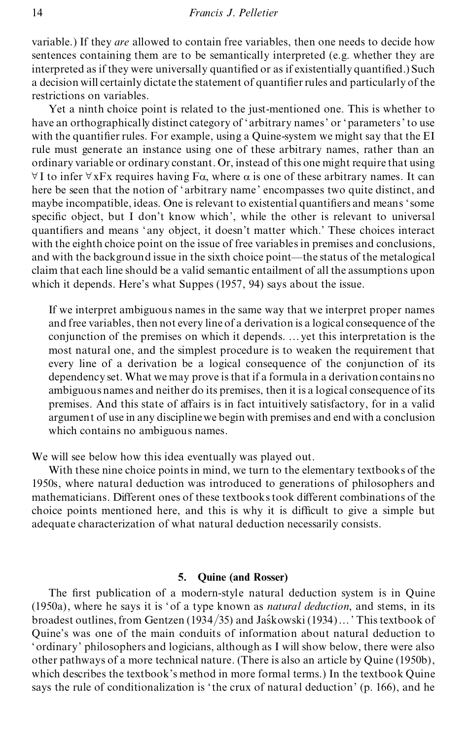variable.) If they *are* allowed to contain free variables, then one needs to decide how sentences containing them are to be semantically interpreted (e.g. whether they are interpreted as if they were universally quantified or as if existentially quantified.) Such a decision will certainly dictate the statement of quantifier rules and particularly of the restrictions on variables.

Yet a ninth choice point is related to the just-mentioned one. This is whether to have an orthographically distinct category of 'arbitrary names' or 'parameters' to use with the quantifier rules. For example, using a Quine-system we might say that the EI rule must generate an instance using one of these arbitrary names, rather than an ordinary variable or ordinary constant. Or, instead of this one might require that using  $\forall$  I to infer  $\forall$  xFx requires having F $\alpha$ , where  $\alpha$  is one of these arbitrary names. It can here be seen that the notion of 'arbitrary name' encompasses two quite distinct, and maybe incompatible, ideas. One is relevant to existential quantifiers and means 'some specific object, but I don't know which', while the other is relevant to universal quantifiers and means 'any object, it doesn't matter which.' These choices interact with the eighth choice point on the issue of free variables in premises and conclusions, and with the background issue in the sixth choice point—the status of the metalogical claim that each line should be a valid semantic entailment of all the assumptions upon which it depends. Here's what Suppes (1957, 94) says about the issue.

If we interpret ambiguous names in the same way that we interpret proper names and free variables, then not every line of a derivation is a logical consequence of the conjunction of the premises on which it depends. ... yet this interpretation is the most natural one, and the simplest procedure is to weaken the requirement that every line of a derivation be a logical consequence of the conjunction of its dependency set. What we may prove isthat if a formula in a derivation contains no ambiguous names and neither do its premises, then it is a logical consequence of its premises. And this state of affairs is in fact intuitively satisfactory, for in a valid argument of use in any disciplinewe begin with premises and end with a conclusion which contains no ambiguous names.

We will see below how this idea eventually was played out.

With these nine choice points in mind, we turn to the elementary textbooks of the 1950s, where natural deduction was introduced to generations of philosophers and mathematicians. Different ones of these textbooks took different combinations of the choice points mentioned here, and this is why it is difficult to give a simple but adequate characterization of what natural deduction necessarily consists.

## **5. Quine (and Rosser)**

The first publication of a modern-style natural deduction system is in Quine (1950a), where he says it is `of a type known as *natural deduction*, and stems, in its broadest outlines, from Gentzen (1934/35) and Jaskowski (1934)...' This textbook of Quine's was one of the main conduits of information about natural deduction to `ordinary' philosophers and logicians, although as I will show below, there were also other pathways of a more technical nature. (There is also an article by Quine (1950b), which describes the textbook's method in more formal terms.) In the textbook Quine says the rule of conditionalization is 'the crux of natural deduction' (p. 166), and he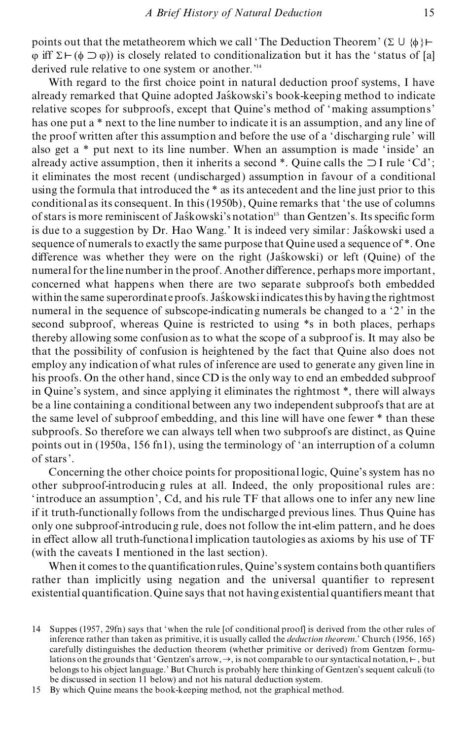points out that the metatheorem which we call 'The Deduction Theorem' ( $\Sigma \cup {\phi}$ }  $\varphi$  iff  $\Sigma \vdash (\varphi \supset \varphi)$  is closely related to conditionalization but it has the 'status of [a] derived rule relative to one system or another.<sup>'14</sup>

With regard to the first choice point in natural deduction proof systems, I have already remarked that Quine adopted Jaskowski's book-keeping method to indicate relative scopes for subproofs, except that Quine's method of 'making assumptions' has one put a \* next to the line number to indicate it is an assumption, and any line of the proof written after this assumption and before the use of a `discharging rule' will also get a  $*$  put next to its line number. When an assumption is made 'inside' an already active assumption, then it inherits a second  $*$ . Quine calls the  $\supset$  I rule 'Cd'; it eliminates the most recent (undischarged) assumption in favour of a conditional using the formula that introduced the \* as its antecedent and the line just prior to this conditional as its consequent.In this (1950b), Quine remarks that `the use of columns of stars is more reminiscent of Jaskowski's notation<sup>15</sup> than Gentzen's. Its specific form is due to a suggestion by Dr. Hao Wang.' It is indeed very similar: Jaskowski used a sequence of numerals to exactly the same purpose that Quine used a sequence of \*. One difference was whether they were on the right  $(Jaškowski)$  or left  $(Ouine)$  of the numeral for the line number in the proof. Another difference, perhaps more important, concerned what happens when there are two separate subproofs both embedded within the same superordinate proofs. Jaskowski indicates this by having the rightmost numeral in the sequence of subscope-indicating numerals be changed to a '2' in the second subproof, whereas Quine is restricted to using \*s in both places, perhaps thereby allowing some confusion as to what the scope of a subproof is. It may also be that the possibility of confusion is heightened by the fact that Quine also does not employ any indication of what rules of inference are used to generate any given line in his proofs. On the other hand, since CD is the only way to end an embedded subproof in Quine's system, and since applying it eliminates the rightmost \*, there will always be a line containing a conditional between any two independentsubproofs that are at the same level of subproof embedding, and this line will have one fewer \* than these subproofs. So therefore we can always tell when two subproofs are distinct, as Quine points out in (1950a, 156 fn1), using the terminology of `an interruption of a column of stars'.

Concerning the other choice points for propositional logic, Quine's system has no other subproof-introducing rules at all. Indeed, the only propositional rules are : `introduce an assumption', Cd, and his rule TF that allows one to infer any new line if it truth-functionally follows from the undischarged previous lines. Thus Quine has only one subproof-introducing rule, does not follow the int-elim pattern, and he does in effect allow all truth-functional implication tautologies as axioms by his use of TF (with the caveats I mentioned in the last section).

When it comes to the quantification rules, Quine's system contains both quantifiers rather than implicitly using negation and the universal quantifier to represent existential quantification. Quine says that not having existential quantifiers meant that

15 By which Quine means the book-keeping method, not the graphical method.

<sup>14</sup> Suppes (1957, 29fn) says that `when the rule [of conditional proof] is derived from the other rules of inference rather than taken as primitive, it is usually called the *deduction theorem*.' Church (1956, 165) carefully distinguishes the deduction theorem (whether primitive or derived) from Gentzen formulations on the grounds that 'Gentzen's arrow,  $\rightarrow$ , is not comparable to our syntactical notation,  $\vdash$ , but belongsto his object language.' But Church is probably here thinking of Gentzen's sequent calculi (to be discussed in section 11 below) and not his natural deduction system.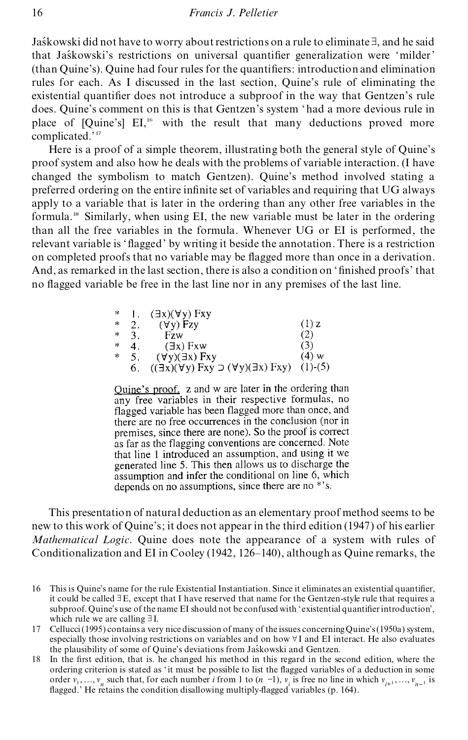Jaskowski did not have to worry about restrictions on a rule to eliminate  $\exists$ , and he said that Jaskowski's restrictions on universal quantifier generalization were 'milder' (than Quine's). Quine had four rules for the quantifiers: introduction and elimination rules for each. As I discussed in the last section, Quine's rule of eliminating the existential quantifier does not introduce a subproof in the way that Gentzen's rule does. Quine's comment on this is that Gentzen's system `had a more devious rule in place of [Quine's] EI,<sup>16</sup> with the result that many deductions proved more complicated.'<sup>17</sup>

Here is a proof of a simple theorem, illustrating both the general style of Quine's proof system and also how he deals with the problems of variable interaction. (I have changed the symbolism to match Gentzen). Quine's method involved stating a preferred ordering on the entire infinite set of variables and requiring that UG always apply to a variable that is later in the ordering than any other free variables in the formula.") Similarly, when using EI, the new variable must be later in the ordering than all the free variables in the formula. Whenever UG orEI is performed, the relevant variable is 'flagged' by writing it beside the annotation. There is a restriction on completed proofs that no variable may be flagged more than once in a derivation. And, as remarked in the last section, there is also a condition on 'finished proofs' that no flagged variable be free in the last line nor in any premises of the last line.

| $\ast$ |    | $(\exists x)(\forall y)$ Fxy                                                                  |         |
|--------|----|-----------------------------------------------------------------------------------------------|---------|
| $\ast$ |    | $(\forall y)$ Fzy                                                                             | $(1)$ z |
| *      | 3. | <b>Fzw</b>                                                                                    | (2)     |
| *      |    | $(\exists x)$ Fxw                                                                             | (3)     |
| *      | 5. | $(\forall y)(\exists x) Fxy$                                                                  | (4) w   |
|        | 6. | $((\exists x)(\forall y) \; \text{Fxy} \supset (\forall y)(\exists x) \; \text{Fxy})$ (1)-(5) |         |

Quine's proof. z and w are later in the ordering than any free variables in their respective formulas, no flagged variable has been flagged more than once, and there are no free occurrences in the conclusion (nor in premises, since there are none). So the proof is correct as far as the flagging conventions are concerned. Note that line 1 introduced an assumption, and using it we generated line 5. This then allows us to discharge the assumption and infer the conditional on line 6, which depends on no assumptions, since there are no \*'s.

This presentation of natural deduction as an elementary proof method seems to be new to this work of Quine's; it does not appear in the third edition (1947) of his earlier *Mathematical Logic*. Quine does note the appearance of a system with rules of Conditionalization and EI in Cooley (1942, 126 $-140$ ), although as Quine remarks, the

<sup>16</sup> This is Quine's name for the rule Existential Instantiation. Since it eliminates an existential quantifier, it could be called  $\exists E$ , except that I have reserved that name for the Gentzen-style rule that requires a subproof. Quine's use of the name EI should not be confused with 'existential quantifier introduction', which rule we are calling  $\exists$  I.

<sup>17</sup> Cellucci(1995) contains a very nice discussion of many of the issues concerningQuine's(1950a) system, especially those involving restrictions on variables and on how  $\forall$ I and EI interact. He also evaluates the plausibility of some of Quine's deviations from Jaskowski and Gentzen.

<sup>18</sup> In the first edition, that is. he changed his method in this regard in the second edition, where the ordering criterion is stated as 'it must be possible to list the flagged variables of a deduction in some order  $v_1, ..., v_n$  such that, for each number *i* from 1 to  $(n-1)$ ,  $v_i$  is free no line in which  $v_{i+1}, ..., v_{n-1}$  is flagged.' He retains the condition disallowing multiply-flagged variables (p. 164).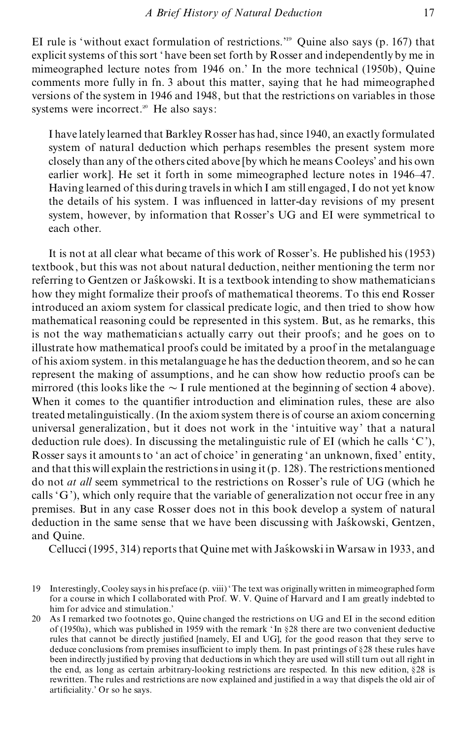EI rule is 'without exact formulation of restrictions.<sup>19</sup> Quine also says (p. 167) that explicit systems of this sort 'have been set forth by Rosser and independently by me in mimeographed lecture notes from 1946 on.' In the more technical (1950b), Quine comments more fully in fn. 3 about this matter, saying that he had mimeographed versions of the system in 1946 and 1948, but that the restrictions on variables in those systems were incorrect.<sup>20</sup> He also says:

I have lately learned that Barkley Rosser has had, since 1940, an exactly formulated system of natural deduction which perhaps resembles the present system more closely than any of the others cited above [by which he means Cooleys' and his own earlier work]. He set it forth in some mimeographed lecture notes in  $1946-47$ . Having learned of this during travels in which I am still engaged, I do not yet know the details of his system. I was influenced in latter-day revisions of my present system, however, by information that Rosser's UG and EI were symmetrical to each other.

It is not at all clear what became of this work of Rosser's. He published his (1953) textbook, but this was not about natural deduction, neither mentioning the term nor referring to Gentzen or Jaskowski. It is a textbook intending to show mathematicians how they might formalize their proofs of mathematical theorems. To this end Rosser introduced an axiom system for classical predicate logic, and then tried to show how mathematical reasoning could be represented in this system. But, as he remarks, this is not the way mathematicians actually carry out their proofs; and he goes on to illustrate how mathematical proofs could be imitated by a proof in the metalanguage of his axiom system. in this metalanguage he has the deduction theorem, and so he can represent the making of assumptions, and he can show how reductio proofs can be mirrored (this looks like the  $\sim$  I rule mentioned at the beginning of section 4 above). When it comes to the quantifier introduction and elimination rules, these are also treated metalinguistically. (In the axiom system there is of course an axiom concerning universal generalization, but it does not work in the `intuitive way' that a natural deduction rule does). In discussing the metalinguistic rule of EI (which he calls  $^{\circ}$ C'), Rosser says it amounts to 'an act of choice' in generating 'an unknown, fixed' entity, and that this will explain the restrictionsin using it (p. 128). The restrictions mentioned do not *at all* seem symmetrical to the restrictions on Rosser's rule of UG (which he calls  $'G'$ ), which only require that the variable of generalization not occur free in any premises. But in any case Rosser does not in this book develop a system of natural deduction in the same sense that we have been discussing with Jaskowski, Gentzen, and Quine.

Cellucci (1995, 314) reports that Quine met with Jaskowski in Warsaw in 1933, and

<sup>19</sup> Interestingly, Cooley saysin his preface (p. viii)`The text was originallywritten in mimeographed form for a course in which I collaborated with Prof. W. V. Quine of Harvard and I am greatly indebted to him for advice and stimulation.'

<sup>20</sup> As I remarked two footnotes go, Quine changed the restrictions on UG and EI in the second edition of (1950a), which was published in 1959 with the remark 'In §28 there are two convenient deductive rules that cannot be directly justified [namely, EI and UG], for the good reason that they serve to deduce conclusions from premises insufficient to imply them. In past printings of  $\S 28$  these rules have been indirectly justified by proving that deductions in which they are used will still turn out all right in the end, as long as certain arbitrary-looking restrictions are respected. In this new edition, 28 is rewritten. The rules and restrictions are now explained and justified in a way that dispels the old air of artificiality.' Or so he says.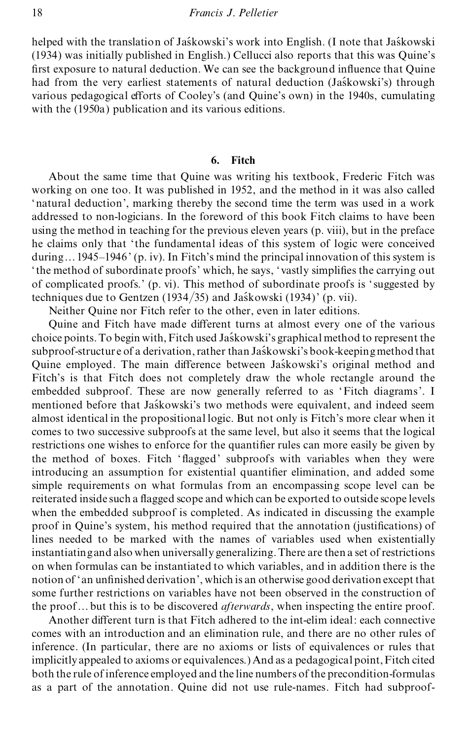helped with the translation of Jaskowski's work into English. (I note that Jaskowski (1934) was initially published in English.) Cellucci also reports that this was Quine's first exposure to natural deduction. We can see the background influence that Quine had from the very earliest statements of natural deduction (Jaskowski's) through various pedagogical efforts of Cooley's (and Quine's own) in the 1940s, cumulating with the (1950a) publication and its various editions.

#### **6. Fitch**

About the same time that Quine was writing his textbook, Frederic Fitch was working on one too. It was published in 1952, and the method in it was also called `natural deduction', marking thereby the second time the term was used in a work addressed to non-logicians. In the foreword of this book Fitch claims to have been using the method in teaching for the previous eleven years (p. viii), but in the preface he claims only that `the fundamental ideas of this system of logic were conceived during...  $1945-1946$  ' (p. iv). In Fitch's mind the principal innovation of this system is `the method of subordinate proofs' which, he says, 'vastly simplifies the carrying out of complicated proofs.' (p. vi). This method of subordinate proofs is 'suggested by techniques due to Gentzen (1934/35) and Jaskowski (1934)' (p. vii).

Neither Quine nor Fitch refer to the other, even in later editions.

Quine and Fitch have made different turns at almost every one of the various choice points. To begin with, Fitch used Jaskowski's graphical method to represent the subproof-structure of a derivation, rather than Jaskowski's book-keeping method that Quine employed. The main difference between Jaskowski's original method and Fitch's is that Fitch does not completely draw the whole rectangle around the embedded subproof. These are now generally referred to as 'Fitch diagrams'. I mentioned before that Jaskowski's two methods were equivalent, and indeed seem almost identical in the propositional logic. But not only is Fitch's more clear when it comes to two successive subproofs at the same level, but also it seems that the logical restrictions one wishes to enforce for the quantifier rules can more easily be given by the method of boxes. Fitch 'flagged' subproofs with variables when they were introducing an assumption for existential quantifier elimination, and added some simple requirements on what formulas from an encompassing scope level can be reiterated inside such a flagged scope and which can be exported to outside scope levels when the embedded subproof is completed. As indicated in discussing the example proof in Quine's system, his method required that the annotation (justifications) of lines needed to be marked with the names of variables used when existentially instantiating and also when universally generalizing. There are then a set of restrictions on when formulas can be instantiated to which variables, and in addition there is the notion of 'an unfinished derivation', which is an otherwise good derivation except that some further restrictions on variables have not been observed in the construction of the proof... but this is to be discovered *afterwards*, when inspecting the entire proof.

Another different turn is that Fitch adhered to the int-elim ideal: each connective comes with an introduction and an elimination rule, and there are no other rules of inference. (In particular, there are no axioms or lists of equivalences or rules that implicitly appealed to axioms or equivalences.) And as a pedagogical point,Fitch cited both the rule of inference employed and the line numbers of the precondition-formulas as a part of the annotation. Quine did not use rule-names. Fitch had subproof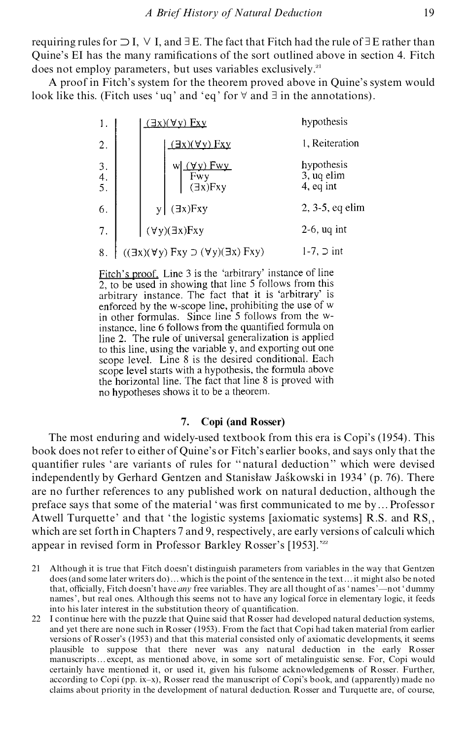requiring rules for  $\supset I$ ,  $\vee I$ , and  $\exists E$ . The fact that Fitch had the rule of  $\exists E$  rather than Quine's EI has the many ramifications of the sort outlined above in section 4. Fitch does not employ parameters, but uses variables exclusively.<sup>21</sup>

A proof in Fitch's system for the theorem proved above in Quine's system would look like this. (Fitch uses 'uq' and 'eq' for  $\forall$  and  $\exists$  in the annotations).



Fitch's proof. Line 3 is the 'arbitrary' instance of line 2, to be used in showing that line 5 follows from this arbitrary instance. The fact that it is 'arbitrary' is enforced by the w-scope line, prohibiting the use of w in other formulas. Since line 5 follows from the winstance, line 6 follows from the quantified formula on line 2. The rule of universal generalization is applied to this line, using the variable y, and exporting out one scope level. Line 8 is the desired conditional. Each scope level starts with a hypothesis, the formula above the horizontal line. The fact that line 8 is proved with no hypotheses shows it to be a theorem.

## **7. Copi (and Rosser)**

The most enduring and widely-used textbook from this era is Copi's (1954). This book does notrefer to either of Quine's or Fitch's earlier books, and says only that the quantifier rules 'are variants of rules for "natural deduction" which were devised independently by Gerhard Gentzen and Stanisław Jaskowski in 1934' (p. 76). There are no further references to any published work on natural deduction, although the preface says that some of the material 'was first communicated to me by... Professor Atwell Turquette' and that 'the logistic systems [axiomatic systems] R.S. and RS<sub>1</sub>, which are set forth in Chapters 7 and 9, respectively, are early versions of calculi which appear in revised form in Professor Barkley Rosser's [1953].<sup>322</sup>

- 21 Although it is true that Fitch doesn't distinguish parameters from variables in the way that Gentzen does (and some later writers do)... which is the point of the sentence in the text... it might also be noted that, officially, Fitch doesn't have *any* free variables. They are all thought of as 'names'—not 'dummy names', but real ones. Although this seems not to have any logical force in elementary logic, it feeds into his later interest in the substitution theory of quantification.
- 22 I continue here with the puzzle that Quine said that Rosser had developed natural deduction systems, and yet there are none such in Rosser (1953). From the fact that Copi had taken material from earlier versions of Rosser's (1953) and that this material consisted only of axiomatic developments, it seems plausible to suppose that there never was any natural deduction in the early Rosser manuscripts... except, as mentioned above, in some sort of metalinguistic sense. For, Copi would certainly have mentioned it, or used it, given his fulsome acknowledgements of Rosser. Further, according to Copi (pp. ix-x), Rosser read the manuscript of Copi's book, and (apparently) made no claims about priority in the development of natural deduction. Rosser and Turquette are, of course,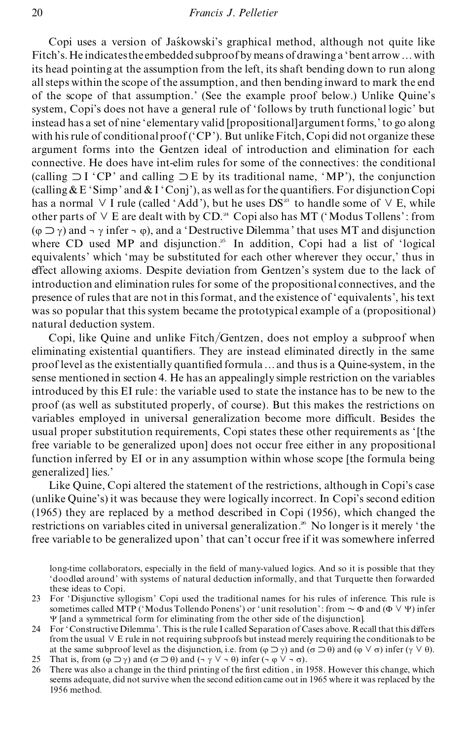Copi uses a version of Jaskowski's graphical method, although not quite like Fitch's. He indicates the embedded subproof by means of drawing a 'bent arrow  $\dots$  with its head pointing at the assumption from the left, its shaft bending down to run along allsteps within the scope of the assumption, and then bending inward to mark the end of the scope of that assumption.' (See the example proof below.) Unlike Quine's system, Copi's does not have a general rule of 'follows by truth functional logic' but instead has a set of nine `elementary valid [propositional]argument forms,' to go along with his rule of conditional proof ( $^{\circ}$ CP'). But unlike Fitch, Copi did not organize these argument forms into the Gentzen ideal of introduction and elimination for each connective. He does have int-elim rules for some of the connectives: the conditional (calling  $\supset$  I 'CP' and calling  $\supset$  E by its traditional name, 'MP'), the conjunction (calling  $\& E$  'Simp' and  $\& I$  'Conj'), as well as for the quantifiers. For disjunction Copi has a normal  $\vee$  I rule (called 'Add'), but he uses DS<sup>23</sup> to handle some of  $\vee$  E, while other parts of  $\vee$  E are dealt with by CD.<sup>24</sup> Copi also has MT ('Modus Tollens': from  $({\varphi} \supset \gamma)$  and  $\neg \gamma$  infer  $\neg \varphi$ ), and a 'Destructive Dilemma' that uses MT and disjunction where CD used MP and disjunction.<sup>25</sup> In addition, Copi had a list of 'logical equivalents' which `may be substituted for each other wherever they occur,' thus in effect allowing axioms. Despite deviation from Gentzen's system due to the lack of introduction and elimination rules for some of the propositional connectives, and the presence of rules that are not in thisformat, and the existence of `equivalents', his text was so popular that this system became the prototypical example of a (propositional) natural deduction system.

Copi, like Quine and unlike Fitch}Gentzen, does not employ a subproof when eliminating existential quantifiers. They are instead eliminated directly in the same proof level as the existentially quantified formula ... and thus is a Quine-system, in the sense mentioned in section 4. He has an appealingly simple restriction on the variables introduced by this EI rule: the variable used to state the instance has to be new to the proof (as well as substituted properly, of course). But this makes the restrictions on variables employed in universal generalization become more difficult. Besides the usual proper substitution requirements, Copi states these other requirements as `[the free variable to be generalized upon] does not occur free either in any propositional function inferred by EI or in any assumption within whose scope [the formula being generalized] lies.'

Like Quine, Copi altered the statement of the restrictions, although in Copi's case (unlike Quine's) it was because they were logically incorrect. In Copi's second edition (1965) they are replaced by a method described in Copi (1956), which changed the restrictions on variables cited in universal generalization.<sup>26</sup> No longer is it merely 'the free variable to be generalized upon' that can't occur free if it was somewhere inferred

long-time collaborators, especially in the field of many-valued logics. And so it is possible that they `doodled around' with systems of natural deduction informally, and that Turquette then forwarded these ideas to Copi.

- 23 For `Disjunctive syllogism' Copi used the traditional names for his rules of inference. This rule is sometimes called MTP ('Modus Tollendo Ponens') or 'unit resolution': from  $\sim \Phi$  and ( $\Phi \vee \Psi$ ) infer W [and a symmetrical form for eliminating from the other side of the disjunction].
- 24 For 'Constructive Dilemma'. This is the rule I called Separation of Cases above. Recall that this differs from the usual  $\vee$  E rule in not requiring subproofs but instead merely requiring the conditionals to be at the same subproof level as the disjunction, i.e. from  $(\varphi \supset \gamma)$  and  $(\varphi \supset \theta)$  and  $(\varphi \vee \sigma)$  infer  $(\gamma \vee \theta)$ .
- 25 That is, from  $(\varphi \supset \gamma)$  and  $(\sigma \supset \theta)$  and  $(\neg \gamma \vee \neg \theta)$  infer  $(\neg \varphi \vee \neg \sigma)$ .

26 There was also a change in the third printing of the first edition, in 1958. However this change, which seems adequate, did not survive when the second edition came out in 1965 where it was replaced by the 1956 method.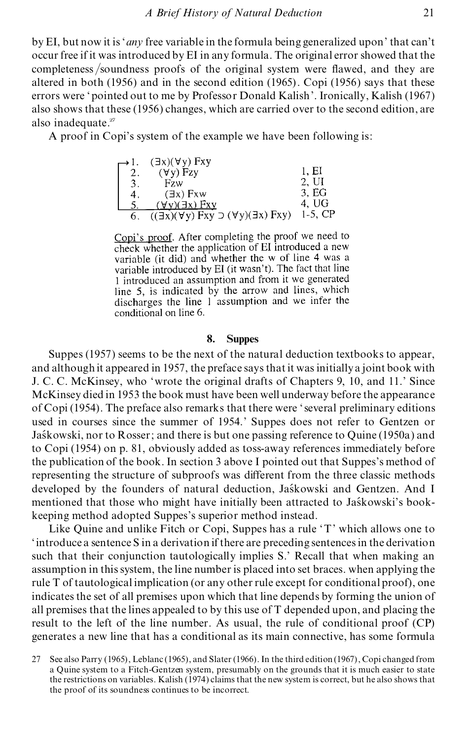by EI, but now it is`*any* free variable in the formula being generalized upon' that can't occur free if it was introduced by EI in any formula. The original error showed that the completeness soundness proofs of the original system were flawed, and they are altered in both (1956) and in the second edition (1965). Copi (1956) says that these errors were `pointed out to me by Professor Donald Kalish'. Ironically, Kalish (1967) also shows that these (1956) changes, which are carried over to the second edition, are also inadequate.<sup>27</sup>

A proof in Copi's system of the example we have been following is:

| — 1. | $(\exists x)(\forall y)$ Fxy                                        |           |
|------|---------------------------------------------------------------------|-----------|
|      | $(\forall y)$ Fzy                                                   | 1. EI     |
| 3.   | Fzw                                                                 | 2. UI     |
| 4.   | $(\exists x)$ Fxw                                                   | 3. EG     |
|      | $(\forall y)(\exists x)$ Fxy                                        | 4. UG     |
|      | $((\exists x)(\forall y)$ $Fxy \supset (\forall y)(\exists x) Fxy)$ | $1-5, CP$ |

Copi's proof. After completing the proof we need to check whether the application of EI introduced a new variable (it did) and whether the w of line 4 was a variable introduced by EI (it wasn't). The fact that line 1 introduced an assumption and from it we generated line 5, is indicated by the arrow and lines, which discharges the line 1 assumption and we infer the conditional on line 6.

#### **8. Suppes**

Suppes (1957) seems to be the next of the natural deduction textbooks to appear, and although it appeared in 1957, the preface says that it was initially a joint book with J. C. C. McKinsey, who `wrote the original drafts of Chapters 9, 10, and 11.' Since McKinsey died in 1953 the book must have been well underway before the appearance of Copi (1954). The preface also remarks that there were `several preliminary editions used in courses since the summer of 1954.' Suppes does not refer to Gentzen or Jaśkowski, nor to Rosser; and there is but one passing reference to Quine (1950a) and to Copi (1954) on p. 81, obviously added as toss-away references immediately before the publication of the book.In section 3 above I pointed out that Suppes's method of representing the structure of subproofs was different from the three classic methods developed by the founders of natural deduction, Jaskowski and Gentzen. And I mentioned that those who might have initially been attracted to Jaskowski's bookkeeping method adopted Suppes's superior method instead.

Like Quine and unlike Fitch or Copi, Suppes has a rule `T' which allows one to `introduce a sentence S in a derivation ifthere are preceding sentencesin the derivation such that their conjunction tautologically implies S.' Recall that when making an assumption in thissystem, the line number is placed into set braces. when applying the rule T of tautological implication (or any otherrule except for conditional proof), one indicates the set of all premises upon which that line depends by forming the union of all premises that the lines appealed to by this use of T depended upon, and placing the result to the left of the line number. As usual, the rule of conditional proof (CP) generates a new line that has a conditional as its main connective, has some formula

<sup>27</sup> See also Parry (1965), Leblanc (1965), and Slater(1966).In the third edition (1967), Copi changed from a Quine system to a Fitch-Gentzen system, presumably on the grounds that it is much easier to state the restrictions on variables. Kalish (1974) claims that the new system is correct, but he also shows that the proof of its soundness continues to be incorrect.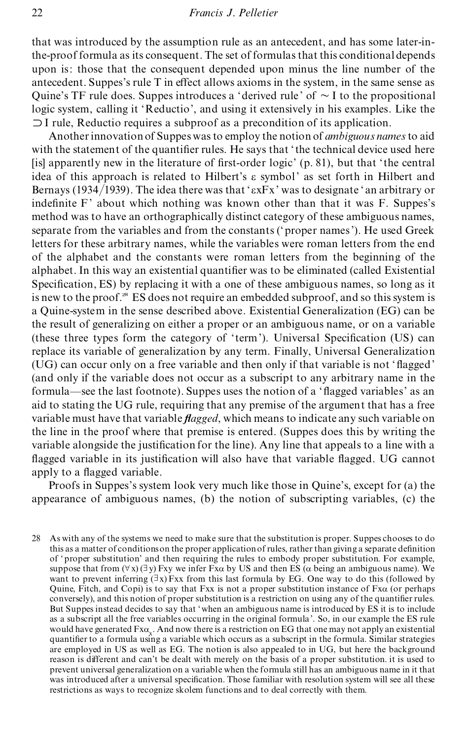that was introduced by the assumption rule as an antecedent, and has some later-inthe-proof formula as its consequent. The set of formulas that this conditional depends upon is: those that the consequent depended upon minus the line number of the antecedent. Suppes's rule  $T$  in effect allows axioms in the system, in the same sense as Quine's TF rule does. Suppes introduces a 'derived rule' of  $\sim$  I to the propositional logic system, calling it 'Reductio', and using it extensively in his examples. Like the  $\supset$  I rule, Reductio requires a subproof as a precondition of its application.

Anotherinnovationof Suppes was to employ the notion of *ambiguous names* to aid with the statement of the quantifier rules. He says that 'the technical device used here [is] apparently new in the literature of first-order logic'  $(p. 81)$ , but that 'the central idea of this approach is related to Hilbert's e symbol' as set forth in Hilbert and Bernays (1934/1939). The idea there was that ' $\epsilon$ xFx' was to designate 'an arbitrary or indefinite  $F'$  about which nothing was known other than that it was  $F$ . Suppes's method was to have an orthographically distinct category of these ambiguous names, separate from the variables and from the constants ('proper names'). He used Greek letters for these arbitrary names, while the variables were roman letters from the end of the alphabet and the constants were roman letters from the beginning of the alphabet. In this way an existential quantifier was to be eliminated (called Existential Specification, ES) by replacing it with a one of these ambiguous names, so long as it is new to the proof.<sup>28</sup> ES does not require an embedded subproof, and so this system is a Quine-system in the sense described above. Existential Generalization (EG) can be the result of generalizing on either a proper or an ambiguous name, or on a variable (these three types form the category of  $'$ term'). Universal Specification (US) can replace its variable of generalization by any term. Finally, Universal Generalization  $(UG)$  can occur only on a free variable and then only if that variable is not 'flagged' (and only if the variable does not occur as a subscript to any arbitrary name in the formula—see the last footnote). Suppes uses the notion of a 'flagged variables' as an aid to stating the UG rule, requiring that any premise of the argument that has a free variable must have that variable *flagged*, which means to indicate any such variable on the line in the proof where that premise is entered. (Suppes does this by writing the variable alongside the justification for the line). Any line that appeals to a line with a flagged variable in its justification will also have that variable flagged. UG cannot apply to a flagged variable.

Proofs in Suppes's system look very much like those in Quine's, except for (a) the appearance of ambiguous names, (b) the notion of subscripting variables, (c) the

28 As with any of the systems we need to make sure that the substitution is proper. Suppes chooses to do this as a matter of conditions on the proper application of rules, rather than giving a separate definition of `proper substitution' and then requiring the rules to embody proper substitution. For example, suppose that from  $(\forall x)(\exists y)$  Fxy we infer Fxa by US and then ES ( $\alpha$  being an ambiguous name). We want to prevent inferring  $(\exists x)$  Fxx from this last formula by EG. One way to do this (followed by Quine, Fitch, and Copi) is to say that Fxx is not a proper substitution instance of Fx $\alpha$  (or perhaps conversely), and this notion of proper substitution is a restriction on using any of the quantifier rules. But Suppes instead decides to say that 'when an ambiguous name is introduced by ES it is to include as a subscript all the free variables occurring in the original formula'. So, in our example the ES rule would have generated  $Fxx_x$ . And now there is a restriction on EG that one may not apply an existential quantifier to a formula using a variable which occurs as a subscript in the formula. Similar strategies are employed in US as well as EG. The notion is also appealed to in UG, but here the background reason is different and can't be dealt with merely on the basis of a proper substitution. it is used to prevent universal generalization on a variable when the formula still has an ambiguous name in it that was introduced after a universal specification. Those familiar with resolution system will see all these restrictions as ways to recognize skolem functions and to deal correctly with them.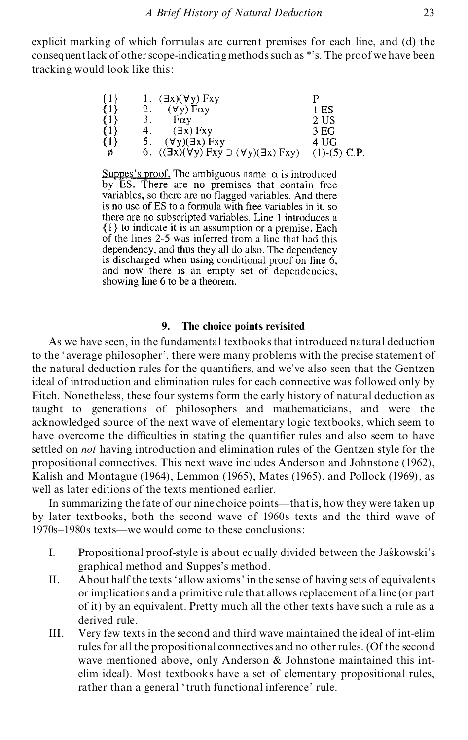explicit marking of which formulas are current premises for each line, and (d) the consequentlack of otherscope-indicatingmethodssuch as \*'s. The proof we have been tracking would look like this:

| $\{1\}$ | 1. $(\exists x)(\forall y)$ Fxy                                        |                |
|---------|------------------------------------------------------------------------|----------------|
| ${1}$   | $(\forall y)$ Fay<br>2.                                                | 1 ES           |
| $\{1\}$ | $F\alpha v$<br>3.                                                      | 2 US           |
| ${1}$   | $(\exists x)$ Fxy<br>4.                                                | 3 EG           |
| ${1}$   | $(\forall y)(\exists x) Fxy$                                           | 4 UG           |
| Ø       | 6. $((\exists x)(\forall y)$ Fxy $\supset (\forall y)(\exists x)$ Fxy) | $(1)-(5)$ C.P. |

Suppes's proof. The ambiguous name  $\alpha$  is introduced by ES. There are no premises that contain free variables, so there are no flagged variables. And there is no use of ES to a formula with free variables in it, so there are no subscripted variables. Line 1 introduces a  $\{1\}$  to indicate it is an assumption or a premise. Each of the lines 2-5 was inferred from a line that had this dependency, and thus they all do also. The dependency is discharged when using conditional proof on line 6, and now there is an empty set of dependencies, showing line 6 to be a theorem.

### **9. The choice points revisited**

As we have seen, in the fundamental textbooks that introduced natural deduction to the `average philosopher', there were many problems with the precise statement of the natural deduction rules for the quantifiers, and we've also seen that the Gentzen ideal of introduction and elimination rules for each connective was followed only by Fitch. Nonetheless, these four systems form the early history of natural deduction as taught to generations of philosophers and mathematicians, and were the acknowledged source of the next wave of elementary logic textbooks, which seem to have overcome the difficulties in stating the quantifier rules and also seem to have settled on *not* having introduction and elimination rules of the Gentzen style for the propositional connectives. This next wave includes Anderson and Johnstone (1962), Kalish and Montague (1964), Lemmon (1965), Mates (1965), and Pollock (1969), as well as later editions of the texts mentioned earlier.

In summarizing the fate of our nine choice points—that is, how they were taken up by later textbooks, both the second wave of 1960s texts and the third wave of  $1970s-1980s$  texts—we would come to these conclusions:

- I. Propositional proof-style is about equally divided between the Jaskowski's graphical method and Suppes's method.
- II. About half the texts 'allow axioms' in the sense of having sets of equivalents or implications and a primitive rule that allows replacement of a line (or part of it) by an equivalent. Pretty much all the other texts have such a rule as a derived rule.
- III. Very few texts in the second and third wave maintained the ideal of int-elim rules for all the propositional connectives and no other rules. (Of the second wave mentioned above, only Anderson & Johnstone maintained this intelim ideal). Most textbooks have a set of elementary propositional rules, rather than a general 'truth functional inference' rule.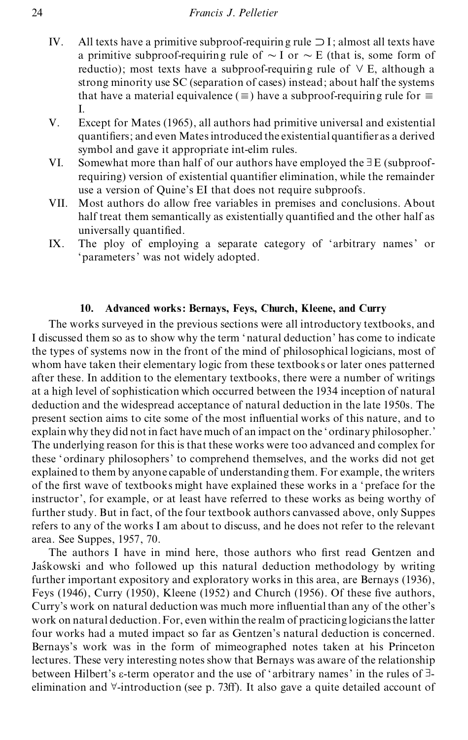- IV. All texts have a primitive subproof-requiring rule  $\supset I$ ; almost all texts have a primitive subproof-requiring rule of  $\sim I$  or  $\sim E$  (that is, some form of reductio); most texts have a subproof-requiring rule of  $\vee$  E, although a strong minority use SC (separation of cases) instead; about half the systems that have a material equivalence ( $\equiv$ ) have a subproof-requiring rule for  $\equiv$ I.
- V. Except for Mates (1965), all authors had primitive universal and existential quantifiers; and even Mates introduced the existential quantifier as a derived symbol and gave it appropriate int-elim rules.
- VI. Somewhat more than half of our authors have employed the  $\exists E$  (subproofrequiring) version of existential quantifier elimination, while the remainder use a version of Quine's EI that does not require subproofs.
- VII. Most authors do allow free variables in premises and conclusions. About half treat them semantically as existentially quantified and the other half as universally quantified.
- IX. The ploy of employing a separate category of `arbitrary names' or `parameters' was not widely adopted.

## **10. Advanced works: Bernays, Feys, Church, Kleene, and Curry**

The works surveyed in the previous sections were all introductory textbooks, and I discussed them so as to show why the term `natural deduction' has come to indicate the types of systems now in the front of the mind of philosophical logicians, most of whom have taken their elementary logic from these textbooks or later ones patterned after these. In addition to the elementary textbooks, there were a number of writings at a high level of sophistication which occurred between the 1934 inception of natural deduction and the widespread acceptance of natural deduction in the late 1950s. The present section aims to cite some of the most influential works of this nature, and to explain why they did not in fact have much of an impact on the 'ordinary philosopher.' The underlying reason for this is that these works were too advanced and complex for these `ordinary philosophers' to comprehend themselves, and the works did not get explained to them by anyone capable of understanding them. For example, the writers of the first wave of textbooks might have explained these works in a 'preface for the instructor', for example, or at least have referred to these works as being worthy of further study. But in fact, of the four textbook authors canvassed above, only Suppes refers to any of the works I am about to discuss, and he does not refer to the relevant area. See Suppes, 1957, 70.

The authors I have in mind here, those authors who first read Gentzen and Jaskowski and who followed up this natural deduction methodology by writing further important expository and exploratory works in this area, are Bernays (1936), Feys (1946), Curry (1950), Kleene (1952) and Church (1956). Of these five authors, Curry's work on natural deduction was much more influential than any of the other's work on natural deduction.For, even within the realm of practicing logiciansthe latter four works had a muted impact so far as Gentzen's natural deduction is concerned. Bernays's work was in the form of mimeographed notes taken at his Princeton lectures. These very interesting notes show that Bernays was aware of the relationship between Hilbert's  $\varepsilon$ -term operator and the use of 'arbitrary names' in the rules of  $\overline{\exists}$ elimination and  $\forall$ -introduction (see p. 73ff). It also gave a quite detailed account of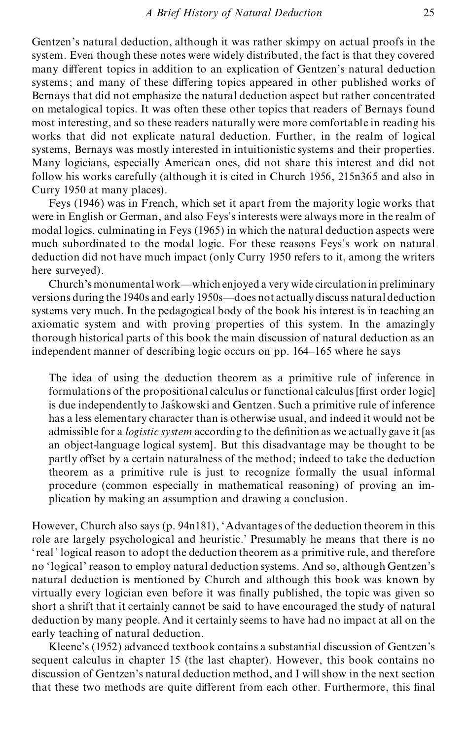Gentzen's natural deduction, although it was rather skimpy on actual proofs in the system. Even though these notes were widely distributed, the fact is that they covered many different topics in addition to an explication of Gentzen's natural deduction systems; and many of these differing topics appeared in other published works of Bernays that did not emphasize the natural deduction aspect but rather concentrated on metalogical topics. It was often these other topics that readers of Bernays found most interesting, and so these readers naturally were more comfortable in reading his works that did not explicate natural deduction. Further, in the realm of logical systems, Bernays was mostly interested in intuitionistic systems and their properties. Many logicians, especially American ones, did not share this interest and did not follow his works carefully (although it is cited in Church 1956, 215n365 and also in Curry 1950 at many places).

Feys (1946) was in French, which set it apart from the majority logic works that were in English or German, and also Feys's interests were always more in the realm of modal logics, culminating in Feys (1965) in which the natural deduction aspects were much subordinated to the modal logic. For these reasons Feys's work on natural deduction did not have much impact (only Curry 1950 refers to it, among the writers here surveyed).

Church's monumental work—which enjoyed a very wide circulation in preliminary versions during the 1940s and early 1950s—does not actually discuss natural deduction systems very much. In the pedagogical body of the book his interest is in teaching an axiomatic system and with proving properties of this system. In the amazingly thorough historical parts of this book the main discussion of natural deduction as an independent manner of describing logic occurs on pp.  $164-165$  where he says

The idea of using the deduction theorem as a primitive rule of inference in formulations of the propositional calculus or functional calculus [first order logic] is due independently to Jaskowski and Gentzen. Such a primitive rule of inference has a less elementary character than is otherwise usual, and indeed it would not be admissible for a *logistic system* according to the definition as we actually gave it [as an object-language logical system]. But this disadvantage may be thought to be partly offset by a certain naturalness of the method; indeed to take the deduction theorem as a primitive rule is just to recognize formally the usual informal procedure (common especially in mathematical reasoning) of proving an im plication by making an assumption and drawing a conclusion.

However, Church also says (p. 94n181), `Advantages of the deduction theorem in this role are largely psychological and heuristic.' Presumably he means that there is no `real 'logical reason to adopt the deduction theorem as a primitive rule, and therefore no `logical' reason to employ natural deduction systems. And so, although Gentzen's natural deduction is mentioned by Church and although this book was known by virtually every logician even before it was finally published, the topic was given so short a shrift that it certainly cannot be said to have encouraged the study of natural deduction by many people. And it certainly seems to have had no impact at all on the early teaching of natural deduction.

Kleene's (1952) advanced textbook contains a substantial discussion of Gentzen's sequent calculus in chapter 15 (the last chapter). However, this book contains no discussion of Gentzen's natural deduction method, and I will show in the next section that these two methods are quite different from each other. Furthermore, this final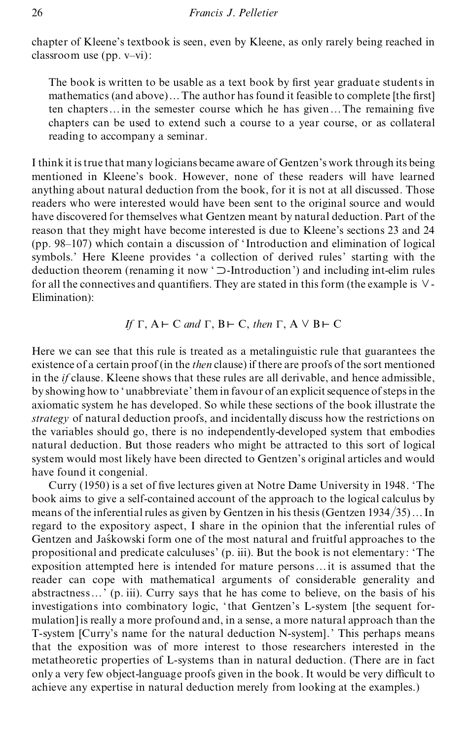chapter of Kleene's textbook is seen, even by Kleene, as only rarely being reached in classroom use  $(pp. v=vi)$ :

The book is written to be usable as a text book by first year graduate students in mathematics (and above)... The author has found it feasible to complete [the first] ten chapters $\dots$  in the semester course which he has given $\dots$  The remaining five chapters can be used to extend such a course to a year course, or as collateral reading to accompany a seminar.

I think it istrue that many logicians became aware of Gentzen's work through its being mentioned in Kleene's book. However, none of these readers will have learned anything about natural deduction from the book, for it is not at all discussed. Those readers who were interested would have been sent to the original source and would have discovered for themselves what Gentzen meant by natural deduction. Part of the reason that they might have become interested is due to Kleene's sections 23 and 24  $(pp. 98-107)$  which contain a discussion of 'Introduction and elimination of logical symbols.' Here Kleene provides `a collection of derived rules' starting with the deduction theorem (renaming it now ' $\supset$ -Introduction') and including int-elim rules for all the connectives and quantifiers. They are stated in this form (the example is  $\vee$ -Elimination):

*If*  $\Gamma$ ,  $A \vdash C$  *and*  $\Gamma$ ,  $B \vdash C$ , *then*  $\Gamma$ ,  $A \lor B \vdash C$ 

Here we can see that this rule is treated as a metalinguistic rule that guarantees the existence of a certain proof (in the *then* clause) if there are proofs of the sort mentioned in the *if* clause. Kleene shows that these rules are all derivable, and hence admissible, by showing how to `unabbreviate' them in favour of an explicitsequence ofstepsin the axiomatic system he has developed. So while these sections of the book illustrate the *strategy* of natural deduction proofs, and incidentally discuss how the restrictions on the variables should go, there is no independently-developed system that embodies natural deduction. But those readers who might be attracted to this sort of logical system would most likely have been directed to Gentzen's original articles and would have found it congenial.

Curry (1950) is a set of five lectures given at Notre Dame University in 1948. 'The book aims to give a self-contained account of the approach to the logical calculus by means of the inferential rules as given by Gentzen in his thesis (Gentzen 1934/35)... In regard to the expository aspect, I share in the opinion that the inferential rules of Gentzen and Jaskowski form one of the most natural and fruitful approaches to the propositional and predicate calculuses' (p. iii). But the book is not elementary: `The exposition attempted here is intended for mature persons... it is assumed that the reader can cope with mathematical arguments of considerable generality and abstractness $\ldots$ , ' (p. iii). Curry says that he has come to believe, on the basis of his investigations into combinatory logic, 'that Gentzen's L-system [the sequent formulation] is really a more profound and, in a sense, a more natural approach than the T-system [Curry's name for the natural deduction N-system].' This perhaps means that the exposition was of more interest to those researchers interested in the metatheoretic properties of L-systems than in natural deduction. (There are in fact only a very few object-language proofs given in the book. It would be very difficult to achieve any expertise in natural deduction merely from looking at the examples.)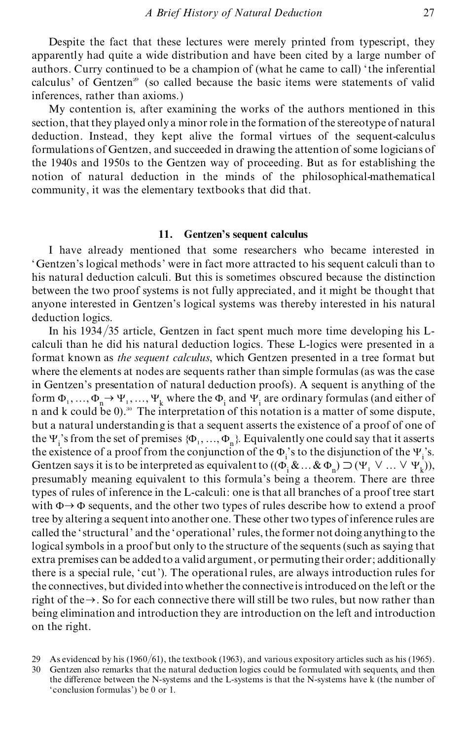Despite the fact that these lectures were merely printed from typescript, they apparently had quite a wide distribution and have been cited by a large number of authors. Curry continued to be a champion of (what he came to call) `the inferential calculus' of Gentzen $*$  (so called because the basic items were statements of valid inferences, rather than axioms.)

My contention is, after examining the works of the authors mentioned in this section, that they played only a minor role in the formation of the stereotype of natural deduction. Instead, they kept alive the formal virtues of the sequent-calculus formulations of Gentzen, and succeeded in drawing the attention of some logicians of the 1940s and 1950s to the Gentzen way of proceeding. But as for establishing the notion of natural deduction in the minds of the philosophical-mathematical community, it was the elementary textbooks that did that.

## **11. Gentzen's sequent calculus**

I have already mentioned that some researchers who became interested in `Gentzen's logical methods' were in fact more attracted to his sequent calculi than to his natural deduction calculi. But this is sometimes obscured because the distinction between the two proof systems is not fully appreciated, and it might be thought that anyone interested in Gentzen's logical systems was thereby interested in his natural deduction logics.

In his  $1934/35$  article, Gentzen in fact spent much more time developing his Lcalculi than he did his natural deduction logics. These L-logics were presented in a format known as *the sequent calculus*, which Gentzen presented in a tree format but where the elements at nodes are sequents rather than simple formulas (as was the case in Gentzen's presentation of natural deduction proofs). A sequent is anything of the form  $\Phi_1, ..., \Phi_n \to \Psi_1, ..., \Psi_k$  where the  $\Phi_i$  and  $\Psi_i$  are ordinary formulas (and either of n and k could be 0).<sup>30</sup> The interpretation of this notation is a matter of some dispute, but a natural understanding is that a sequent asserts the existence of a proof of one of the  $\Psi_i$ 's from the set of premises { $\Phi_1$ , ...,  $\Phi_n$ }. Equivalently one could say that it asserts the existence of a proof from the conjunction of the  $\Phi_i$ 's to the disjunction of the  $\Psi_i$ 's. Gentzen says it is to be interpreted as equivalent to  $((\Phi_i \& \dots \& \Phi_n) \supset (\Psi_1 \vee \dots \vee \Psi_k)),$ presumably meaning equivalent to this formula's being a theorem. There are three types of rules of inference in the L-calculi: one is that all branches of a proof tree start with  $\Phi \rightarrow \Phi$  sequents, and the other two types of rules describe how to extend a proof tree by altering a sequent into another one. These othertwo types of inference rules are called the 'structural' and the 'operational' rules, the former not doing anything to the logical symbols in a proof but only to the structure of the sequents (such as saying that extra premises can be addedto a valid argument, or permuting their order; additionally there is a special rule, `cut'). The operational rules, are always introduction rules for the connectives, but divided into whether the connective is introduced on the left or the right of the $\rightarrow$ . So for each connective there will still be two rules, but now rather than being elimination and introduction they are introduction on the left and introduction on the right.

<sup>29</sup> As evidenced by his (1960}61), the textbook (1963), and various expository articles such as his (1965).

<sup>30</sup> Gentzen also remarks that the natural deduction logics could be formulated with sequents, and then the difference between the N-systems and the L-systems is that the N-systems have  $\hat{k}$  (the number of `conclusion formulas') be 0 or 1.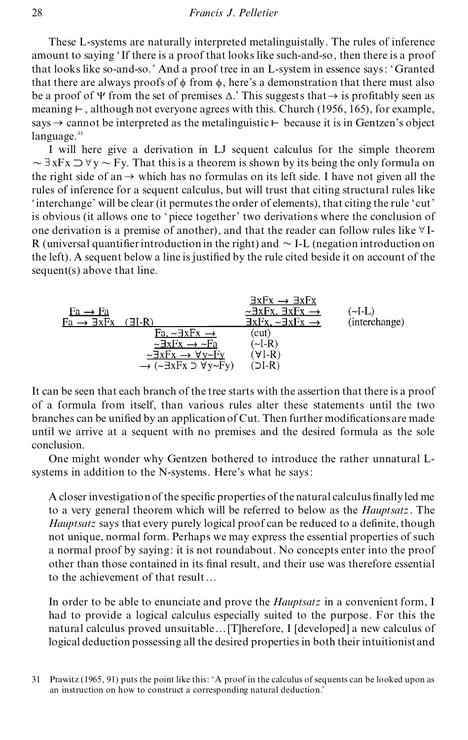These L-systems are naturally interpreted metalinguistally. The rules of inference amount to saying `If there is a proof that looks like such-and-so, then there is a proof that looks like so-and-so.' And a proof tree in an L-system in essence says: `Granted that there are always proofs of  $\phi$  from  $\phi$ , here's a demonstration that there must also be a proof of  $\Psi$  from the set of premises  $\Delta$ . This suggests that  $\rightarrow$  is profitably seen as meaning  ${\vdash}$ , although not everyone agrees with this. Church (1956, 165), for example, says  $\rightarrow$  cannot be interpreted as the metalinguistic  $\vdash$  because it is in Gentzen's object  $language.$ <sup>31</sup>

I will here give a derivation in LJ sequent calculus for the simple theorem  $\sim \exists xFx \supset \forall y \sim Fy$ . That this is a theorem is shown by its being the only formula on the right side of an  $\rightarrow$  which has no formulas on its left side. I have not given all the rules of inference for a sequent calculus, but will trust that citing structural rules like `interchange' will be clear (it permutes the order of elements), that citing the rule `cut' is obvious (it allows one to 'piece together' two derivations where the conclusion of one derivation is a premise of another), and that the reader can follow rules like  $\forall$  I-R (universal quantifier introduction in the right) and  $\sim$  I-L (negation introduction on the left). A sequent below a line is justified by the rule cited beside it on account of the sequent(s) above that line.



It can be seen that each branch of the tree starts with the assertion that there is a proof of a formula from itself, than various rules alter these statements until the two branches can be unified by an application of Cut. Then further modifications are made until we arrive at a sequent with no premises and the desired formula as the sole conclusion.

One might wonder why Gentzen bothered to introduce the rather unnatural Lsystems in addition to the N-systems. Here's what he says:

A closer investigation of the specific properties of the natural calculus finally led me to a very general theorem which will be referred to below as the *Hauptsatz*. The *Hauptsatz* says that every purely logical proof can be reduced to a definite, though not unique, normal form. Perhaps we may express the essential properties of such a normal proof by saying: it is not roundabout. No concepts enter into the proof other than those contained in its final result, and their use was therefore essential to the achievement of that result $\dots$ 

In order to be able to enunciate and prove the *Hauptsatz* in a convenient form, I had to provide a logical calculus especially suited to the purpose. For this the natural calculus proved unsuitable ... [T]herefore, I [developed] a new calculus of logical deduction possessing all the desired properties in both their intuitionistand

<sup>31</sup> Prawitz (1965, 91) puts the point like this: `A proof in the calculus of sequents can be looked upon as an instruction on how to construct a corresponding natural deduction.'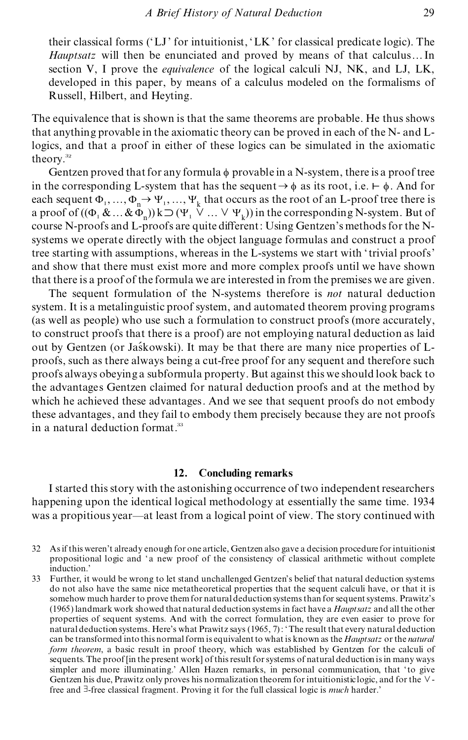their classical forms (`LJ ' for intuitionist, `LK' for classical predicate logic). The Hauptsatz will then be enunciated and proved by means of that calculus... In section V, I prove the *equivalence* of the logical calculi NJ, NK, and LJ, LK, developed in this paper, by means of a calculus modeled on the formalisms of Russell, Hilbert, and Heyting.

The equivalence that is shown is that the same theorems are probable. He thus shows that anything provable in the axiomatic theory can be proved in each of the N- and Llogics, and that a proof in either of these logics can be simulated in the axiomatic theory.<sup>32</sup>

Gentzen proved that for any formula  $\phi$  provable in a N-system, there is a proof tree in the corresponding L-system that has the sequent  $\rightarrow \phi$  as its root, i.e.  ${\vdash \phi}$ . And for each sequent  $\Phi_1, ..., \Phi_n \to \Psi_1, ..., \Psi_k$  that occurs as the root of an L-proof tree there is a proof of  $((\Phi_1 \& ... \& \Phi_n)) k \supset (\Psi_1 \vee ... \vee \Psi_k))$  in the corresponding N-system. But of course N-proofs and L-proofs are quite different: Using Gentzen's methods for the Nsystems we operate directly with the object language formulas and construct a proof tree starting with assumptions, whereas in the L-systems we start with 'trivial proofs' and show that there must exist more and more complex proofs until we have shown that there is a proof of the formula we are interested in from the premises we are given.

The sequent formulation of the N-systems therefore is *not* natural deduction system. It is a metalinguistic proof system, and automated theorem proving programs (as well as people) who use such a formulation to construct proofs (more accurately, to construct proofs that there is a proof) are not employing natural deduction as laid out by Gentzen (or Jaskowski). It may be that there are many nice properties of Lproofs, such as there always being a cut-free proof for any sequent and therefore such proofs always obeying a subformula property. But against this we should look back to the advantages Gentzen claimed for natural deduction proofs and at the method by which he achieved these advantages. And we see that sequent proofs do not embody these advantages, and they fail to embody them precisely because they are not proofs in a natural deduction format.<sup>33</sup>

#### **12. Concluding remarks**

I started this story with the astonishing occurrence of two independent researchers happening upon the identical logical methodology at essentially the same time. 1934 was a propitious year—at least from a logical point of view. The story continued with

<sup>32</sup> Asif this weren't already enough for one article, Gentzen also gave a decision procedure forintuitionist propositional logic and `a new proof of the consistency of classical arithmetic without complete induction.'

<sup>33</sup> Further, it would be wrong to let stand unchallenged Gentzen's belief that natural deduction systems do not also have the same nice metatheoretical properties that the sequent calculi have, or that it is somehow much harder to prove them for natural deduction systems than for sequent systems. Prawitz's (1965) landmark work showed that natural deduction systems in fact have a *Hauptsatz* and all the other properties of sequent systems. And with the correct formulation, they are even easier to prove for natural deduction systems. Here's what Prawitz says (1965, 7): `The result that every natural deduction can be transformed into this normal form is equivalentto what is known as the *Hauptsatz* orthe *natural form theorem*, a basic result in proof theory, which was established by Gentzen for the calculi of sequents. The proof [in the present work] of this result for systems of natural deduction is in many ways simpler and more illuminating.' Allen Hazen remarks, in personal communication, that `to give Gentzen his due, Prawitz only proves his normalization theorem for intuitionisticlogic, and for the  $\vee$ free and <sup>3</sup>-free classical fragment. Proving it for the full classical logic is *much* harder.'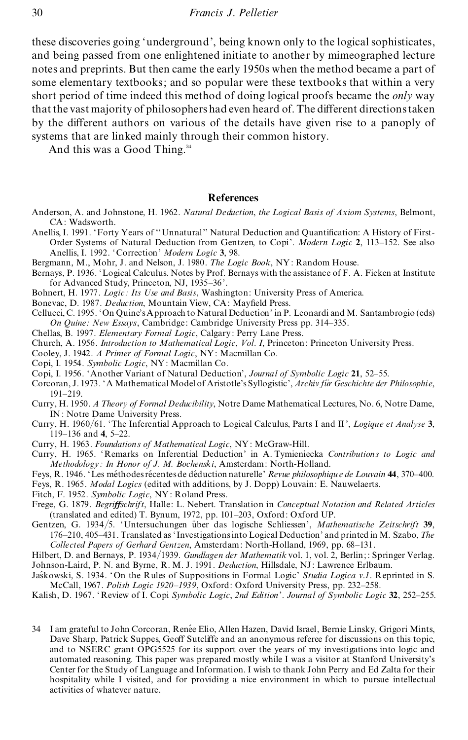these discoveries going `underground', being known only to the logical sophisticates, and being passed from one enlightened initiate to another by mimeographed lecture notes and preprints. But then came the early 1950s when the method became a part of some elementary textbooks; and so popular were these textbooks that within a very short period of time indeed this method of doing logical proofs became the *only* way that the vast majority of philosophers had even heard of. The different directions taken by the different authors on various of the details have given rise to a panoply of systems that are linked mainly through their common history.

And this was a Good Thing.<sup>34</sup>

#### **References**

- Anderson, A. and Johnstone, H. 1962. *Natural Deduction*, *the Logical Basis of Axiom Systems*, Belmont, CA: Wadsworth.
- Anellis, I. 1991. 'Forty Years of "Unnatural" Natural Deduction and Quantification: A History of First-Order Systems of Natural Deduction from Gentzen, to Copi'. *Modern Logic* **2**, 113±152. See also
	- Anellis, I. 1992. `Correction' *Modern Logic* **3**, 98.
- Bergmann, M., Mohr, J. and Nelson, J. 1980. *The Logic Book*, NY: Random House.
- Bernays, P. 1936. `Logical Calculus. Notes by Prof. Bernays with the assistance of F. A. Ficken at Institute for Advanced Study, Princeton, NJ, 1935-36'.
- Bohnert, H. 1977. *Logic: Its Use and Basis*, Washington: University Press of America.
- Bonevac, D. 1987. *Deduction*, Mountain View, CA: Mayfield Press.
- Cellucci, C. 1995. `On Quine'sApproach to Natural Deduction' in P. Leonardi and M. Santambrogio (eds) *On Quine: New Essays*, Cambridge: Cambridge University Press pp. 314±335.
- Chellas, B. 1997. *Elementary Formal Logic*, Calgary : Perry Lane Press.
- Church, A. 1956. *Introduction to Mathematical Logic*, *Vol*. *I*, Princeton: Princeton University Press.
- Cooley, J. 1942. *A Primer of Formal Logic*, NY: Macmillan Co.
- Copi, I. 1954. *Symbolic Logic*, NY: Macmillan Co.
- Copi, I. 1956. 'Another Variant of Natural Deduction', *Journal of Symbolic Logic* 21, 52–55.
- Corcoran, J. 1973. `A Mathematical Model of Aristotle's Syllogistic', *Archiv fur Geschichte der Philosophie*, 191±219.
- Curry, H. 1950. *A Theory of Formal Deducibility*, Notre Dame Mathematical Lectures, No. 6, Notre Dame, IN : Notre Dame University Press.
- Curry, H. 1960}61. `The Inferential Approach to Logical Calculus, Parts I and II', *Logique et Analyse* **3**, 119-136 and 4, 5-22.
- Curry, H. 1963. *Foundations of Mathematical Logic*, NY: McGraw-Hill.
- Curry, H. 1965. `Remarks on Inferential Deduction' in A. Tymieniecka *Contributions to Logic and Methodology :In Honor of J. M. Bochenski*, Amsterdam: North-Holland.
- Feys, R. 1946. 'Les méthodes récentes de déduction naturelle' *Revue philosophique de Louvain* 44, 370-400.
- Feys, R. 1965. *Modal Logics* (edited with additions, by J. Dopp) Louvain: E. Nauwelaerts.
- Fitch, F. 1952. *Symbolic Logic*, NY: Roland Press.
- Frege, G. 1879. *BegriŒschrift*, Halle: L. Nebert. Translation in *Conceptual Notation and Related Articles* (translated and edited) T. Bynum, 1972, pp.  $101-203$ , Oxford: Oxford UP.
- Gentzen, G. 1934/5. 'Untersuchungen über das logische Schliessen', *Mathematische Zeitschrift* 39, 176±210, 405±431. Translated as `Investigationsinto Logical Deduction' and printed in M. Szabo, *The Collected Papers of Gerhard Gentzen*, Amsterdam: North-Holland, 1969, pp. 68–131.
- Hilbert, D. and Bernays, P. 1934}1939. *Gundlagen der Mathematik* vol. 1, vol. 2, Berlin;: Springer Verlag. Johnson-Laird, P. N. and Byrne, R. M. J. 1991. *Deduction*, Hillsdale, NJ : Lawrence Erlbaum.
- Jas!kowski, S. 1934. `On the Rules of Suppositions in Formal Logic' *Studia Logica v*.*1*. Reprinted in S. McCall, 1967. *Polish Logic 1920-1939*, Oxford: Oxford University Press, pp. 232-258.

34 I am grateful to John Corcoran, Renée Elio, Allen Hazen, David Israel, Bernie Linsky, Grigori Mints, Dave Sharp, Patrick Suppes, Geoff Sutcliffe and an anonymous referee for discussions on this topic, and to NSERC grant OPG5525 for its support over the years of my investigations into logic and automated reasoning. This paper was prepared mostly while I was a visitor at Stanford University's Center for the Study of Language and Information. I wish to thank John Perry and Ed Zalta for their hospitality while I visited, and for providing a nice environment in which to pursue intellectual activities of whatever nature.

Kalish, D. 1967. `Review ofI. Copi *Symbolic Logic*, *2nd Edition* '.*Journal of Symbolic Logic* **32**, 252±255.